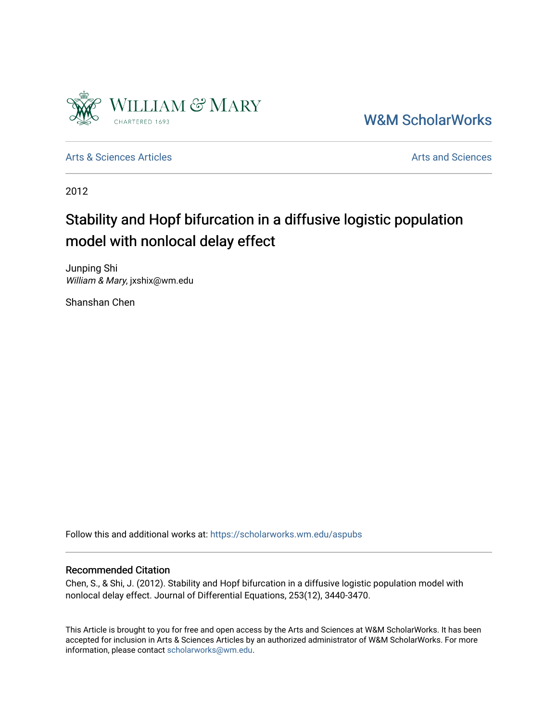

[W&M ScholarWorks](https://scholarworks.wm.edu/) 

[Arts & Sciences Articles](https://scholarworks.wm.edu/aspubs) **Articles** [Arts and Sciences](https://scholarworks.wm.edu/as) Articles Arts and Sciences Arts and Sciences Articles Arts and Sciences Arts and Sciences Articles Arts and Sciences Articles Arts and Sciences Articles **Arts and Scien** 

2012

# Stability and Hopf bifurcation in a diffusive logistic population model with nonlocal delay effect

Junping Shi William & Mary, jxshix@wm.edu

Shanshan Chen

Follow this and additional works at: [https://scholarworks.wm.edu/aspubs](https://scholarworks.wm.edu/aspubs?utm_source=scholarworks.wm.edu%2Faspubs%2F1498&utm_medium=PDF&utm_campaign=PDFCoverPages) 

### Recommended Citation

Chen, S., & Shi, J. (2012). Stability and Hopf bifurcation in a diffusive logistic population model with nonlocal delay effect. Journal of Differential Equations, 253(12), 3440-3470.

This Article is brought to you for free and open access by the Arts and Sciences at W&M ScholarWorks. It has been accepted for inclusion in Arts & Sciences Articles by an authorized administrator of W&M ScholarWorks. For more information, please contact [scholarworks@wm.edu](mailto:scholarworks@wm.edu).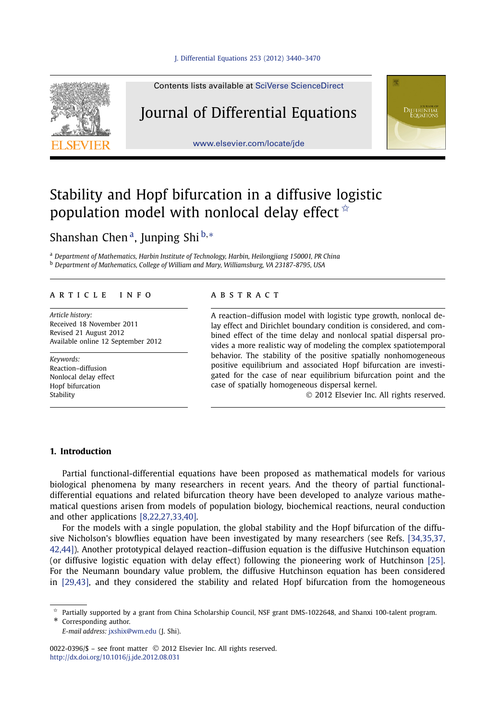

Contents lists available at [SciVerse ScienceDirect](http://www.ScienceDirect.com/)

### Journal of Differential Equations

[www.elsevier.com/locate/jde](http://www.elsevier.com/locate/jde)



## Stability and Hopf bifurcation in a diffusive logistic population model with nonlocal delay effect  $\dot{\mathbf{x}}$

Shanshan Chen a, Junping Shi <sup>b</sup>*,*<sup>∗</sup>

<sup>a</sup> *Department of Mathematics, Harbin Institute of Technology, Harbin, Heilongjiang 150001, PR China* <sup>b</sup> *Department of Mathematics, College of William and Mary, Williamsburg, VA 23187-8795, USA*

#### article info abstract

*Article history:* Received 18 November 2011 Revised 21 August 2012 Available online 12 September 2012

*Keywords:* Reaction–diffusion Nonlocal delay effect Hopf bifurcation **Stability** 

A reaction–diffusion model with logistic type growth, nonlocal delay effect and Dirichlet boundary condition is considered, and combined effect of the time delay and nonlocal spatial dispersal provides a more realistic way of modeling the complex spatiotemporal behavior. The stability of the positive spatially nonhomogeneous positive equilibrium and associated Hopf bifurcation are investigated for the case of near equilibrium bifurcation point and the case of spatially homogeneous dispersal kernel.

© 2012 Elsevier Inc. All rights reserved.

#### **1. Introduction**

Partial functional-differential equations have been proposed as mathematical models for various biological phenomena by many researchers in recent years. And the theory of partial functionaldifferential equations and related bifurcation theory have been developed to analyze various mathematical questions arisen from models of population biology, biochemical reactions, neural conduction and other applications [\[8,22,27,33,40\].](#page-30-0)

For the models with a single population, the global stability and the Hopf bifurcation of the diffusive Nicholson's blowflies equation have been investigated by many researchers (see Refs. [\[34,35,37,](#page-31-0) [42,44\]\)](#page-31-0). Another prototypical delayed reaction–diffusion equation is the diffusive Hutchinson equation (or diffusive logistic equation with delay effect) following the pioneering work of Hutchinson [\[25\].](#page-31-0) For the Neumann boundary value problem, the diffusive Hutchinson equation has been considered in [\[29,43\],](#page-31-0) and they considered the stability and related Hopf bifurcation from the homogeneous

\* Corresponding author.

*E-mail address:* [jxshix@wm.edu](mailto:jxshix@wm.edu) (J. Shi).

0022-0396/\$ – see front matter © 2012 Elsevier Inc. All rights reserved. <http://dx.doi.org/10.1016/j.jde.2012.08.031>

 $\hat{\tau}$  Partially supported by a grant from China Scholarship Council, NSF grant DMS-1022648, and Shanxi 100-talent program.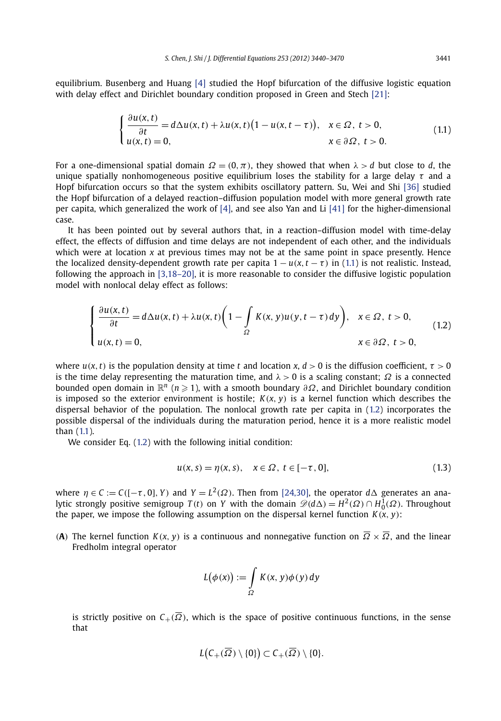<span id="page-2-0"></span>equilibrium. Busenberg and Huang [\[4\]](#page-30-0) studied the Hopf bifurcation of the diffusive logistic equation with delay effect and Dirichlet boundary condition proposed in Green and Stech [\[21\]:](#page-30-0)

$$
\begin{cases} \frac{\partial u(x,t)}{\partial t} = d\Delta u(x,t) + \lambda u(x,t) \big( 1 - u(x,t-\tau) \big), & x \in \Omega, \ t > 0, \\ u(x,t) = 0, & x \in \partial\Omega, \ t > 0. \end{cases}
$$
(1.1)

For a one-dimensional spatial domain  $\Omega = (0, \pi)$ , they showed that when  $\lambda > d$  but close to *d*, the unique spatially nonhomogeneous positive equilibrium loses the stability for a large delay *τ* and a Hopf bifurcation occurs so that the system exhibits oscillatory pattern. Su, Wei and Shi [\[36\]](#page-31-0) studied the Hopf bifurcation of a delayed reaction–diffusion population model with more general growth rate per capita, which generalized the work of [\[4\],](#page-30-0) and see also Yan and Li [\[41\]](#page-31-0) for the higher-dimensional case.

It has been pointed out by several authors that, in a reaction–diffusion model with time-delay effect, the effects of diffusion and time delays are not independent of each other, and the individuals which were at location *x* at previous times may not be at the same point in space presently. Hence the localized density-dependent growth rate per capita  $1 - u(x, t - \tau)$  in (1.1) is not realistic. Instead, following the approach in [\[3,18–20\],](#page-30-0) it is more reasonable to consider the diffusive logistic population model with nonlocal delay effect as follows:

$$
\begin{cases} \frac{\partial u(x,t)}{\partial t} = d\Delta u(x,t) + \lambda u(x,t) \left(1 - \int_{\Omega} K(x,y)u(y,t-\tau) dy\right), & x \in \Omega, \ t > 0, \\ u(x,t) = 0, & x \in \partial\Omega, \ t > 0, \end{cases}
$$
(1.2)

where  $u(x, t)$  is the population density at time *t* and location *x*,  $d > 0$  is the diffusion coefficient,  $\tau > 0$ is the time delay representing the maturation time, and  $\lambda > 0$  is a scaling constant;  $\Omega$  is a connected bounded open domain in  $\mathbb{R}^n$  (*n* ≥ 1), with a smooth boundary ∂Ω, and Dirichlet boundary condition is imposed so the exterior environment is hostile;  $K(x, y)$  is a kernel function which describes the dispersal behavior of the population. The nonlocal growth rate per capita in (1.2) incorporates the possible dispersal of the individuals during the maturation period, hence it is a more realistic model than (1.1).

We consider Eq. (1.2) with the following initial condition:

$$
u(x, s) = \eta(x, s), \quad x \in \Omega, \ t \in [-\tau, 0], \tag{1.3}
$$

where  $\eta \in C := C([- \tau, 0], Y)$  and  $Y = L^2(\Omega)$ . Then from [\[24,30\],](#page-30-0) the operator  $d\Delta$  generates an analytic strongly positive semigroup  $T(t)$  on *Y* with the domain  $\mathscr{D}(d\Delta) = H^2(\Omega) \cap H^1_0(\Omega)$ . Throughout the paper, we impose the following assumption on the dispersal kernel function  $K(x, y)$ :

**(A)** The kernel function  $K(x, y)$  is a continuous and nonnegative function on  $\overline{\Omega} \times \overline{\Omega}$ , and the linear Fredholm integral operator

$$
L(\phi(x)) := \int_{\Omega} K(x, y)\phi(y) dy
$$

is strictly positive on  $C_+(\overline{\Omega})$ , which is the space of positive continuous functions, in the sense that

$$
L(C_{+}(\overline{\Omega})\setminus\{0\})\subset C_{+}(\overline{\Omega})\setminus\{0\}.
$$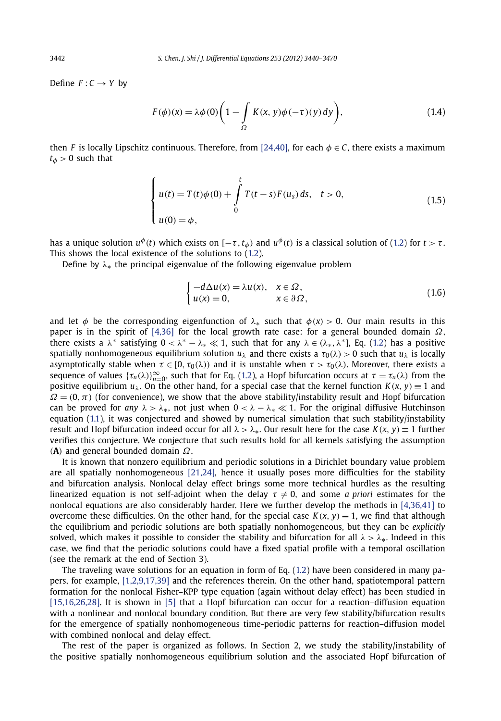<span id="page-3-0"></span>Define  $F: C \rightarrow Y$  by

$$
F(\phi)(x) = \lambda \phi(0) \left( 1 - \int_{\Omega} K(x, y) \phi(-\tau)(y) dy \right),
$$
\n(1.4)

then *F* is locally Lipschitz continuous. Therefore, from [\[24,40\],](#page-30-0) for each  $\phi \in C$ , there exists a maximum  $t_{\phi}$  > 0 such that

$$
\begin{cases}\n u(t) = T(t)\phi(0) + \int_{0}^{t} T(t-s)F(u_s) ds, & t > 0, \\
 u(0) = \phi,\n\end{cases}
$$
\n(1.5)

has a unique solution  $u^{\phi}(t)$  which exists on  $[-\tau, t_{\phi})$  and  $u^{\phi}(t)$  is a classical solution of [\(1.2\)](#page-2-0) for  $t > \tau$ . This shows the local existence of the solutions to [\(1.2\)](#page-2-0).

Define by *λ*∗ the principal eigenvalue of the following eigenvalue problem

$$
\begin{cases}\n-d\Delta u(x) = \lambda u(x), & x \in \Omega, \\
u(x) = 0, & x \in \partial\Omega,\n\end{cases}
$$
\n(1.6)

and let  $\phi$  be the corresponding eigenfunction of  $\lambda_*$  such that  $\phi(x) > 0$ . Our main results in this paper is in the spirit of [\[4,36\]](#page-30-0) for the local growth rate case: for a general bounded domain *Ω*, there exists a  $\lambda^*$  satisfying  $0 < \lambda^* - \lambda_* \ll 1$ , such that for any  $\lambda \in (\lambda_*, \lambda^*]$ , Eq. [\(1.2\)](#page-2-0) has a positive spatially nonhomogeneous equilibrium solution  $u_{\lambda}$  and there exists a  $\tau_0(\lambda) > 0$  such that  $u_{\lambda}$  is locally asymptotically stable when  $\tau \in [0, \tau_0(\lambda))$  and it is unstable when  $\tau > \tau_0(\lambda)$ . Moreover, there exists a sequence of values  $\{\tau_n(\lambda)\}_{n=0}^{\infty}$ , such that for Eq. [\(1.2\)](#page-2-0), a Hopf bifurcation occurs at  $\tau = \tau_n(\lambda)$  from the positive equilibrium  $u_{\lambda}$ . On the other hand, for a special case that the kernel function  $K(x, y) \equiv 1$  and  $\Omega = (0, \pi)$  (for convenience), we show that the above stability/instability result and Hopf bifurcation can be proved for *any*  $\lambda > \lambda_*$ , not just when  $0 < \lambda - \lambda_* \ll 1$ . For the original diffusive Hutchinson equation [\(1.1\)](#page-2-0), it was conjectured and showed by numerical simulation that such stability/instability result and Hopf bifurcation indeed occur for all  $\lambda > \lambda_{*}$ . Our result here for the case  $K(x, y) \equiv 1$  further verifies this conjecture. We conjecture that such results hold for all kernels satisfying the assumption *(***A***)* and general bounded domain *Ω*.

It is known that nonzero equilibrium and periodic solutions in a Dirichlet boundary value problem are all spatially nonhomogeneous [\[21,24\],](#page-30-0) hence it usually poses more difficulties for the stability and bifurcation analysis. Nonlocal delay effect brings some more technical hurdles as the resulting linearized equation is not self-adjoint when the delay  $\tau \neq 0$ , and some *a priori* estimates for the nonlocal equations are also considerably harder. Here we further develop the methods in [\[4,36,41\]](#page-30-0) to overcome these difficulties. On the other hand, for the special case  $K(x, y) \equiv 1$ , we find that although the equilibrium and periodic solutions are both spatially nonhomogeneous, but they can be *explicitly* solved, which makes it possible to consider the stability and bifurcation for all *λ>λ*∗. Indeed in this case, we find that the periodic solutions could have a fixed spatial profile with a temporal oscillation (see the remark at the end of Section 3).

The traveling wave solutions for an equation in form of Eq. [\(1.2](#page-2-0)) have been considered in many papers, for example, [\[1,2,9,17,39\]](#page-30-0) and the references therein. On the other hand, spatiotemporal pattern formation for the nonlocal Fisher–KPP type equation (again without delay effect) has been studied in [\[15,16,26,28\].](#page-30-0) It is shown in [\[5\]](#page-30-0) that a Hopf bifurcation can occur for a reaction–diffusion equation with a nonlinear and nonlocal boundary condition. But there are very few stability/bifurcation results for the emergence of spatially nonhomogeneous time-periodic patterns for reaction–diffusion model with combined nonlocal and delay effect.

The rest of the paper is organized as follows. In Section 2, we study the stability/instability of the positive spatially nonhomogeneous equilibrium solution and the associated Hopf bifurcation of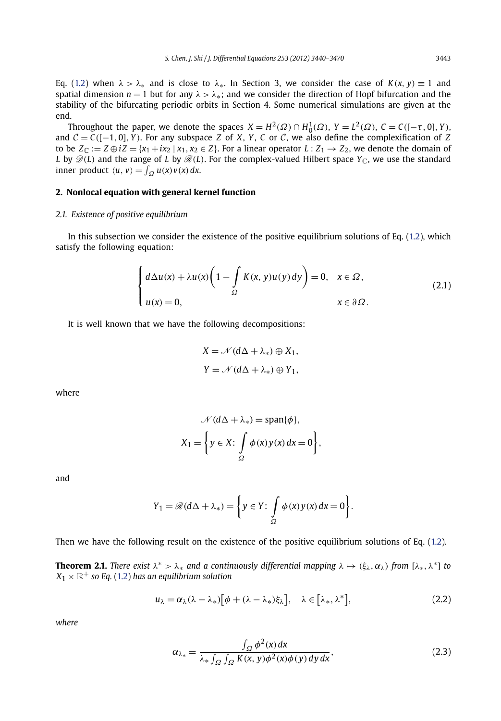<span id="page-4-0"></span>Eq. [\(1.2](#page-2-0)) when  $\lambda > \lambda_*$  and is close to  $\lambda_*$ . In Section 3, we consider the case of  $K(x, y) \equiv 1$  and spatial dimension  $n = 1$  but for any  $\lambda > \lambda_{*}$ ; and we consider the direction of Hopf bifurcation and the stability of the bifurcating periodic orbits in Section 4. Some numerical simulations are given at the end.

Throughout the paper, we denote the spaces  $X = H^2(\Omega) \cap H^1_0(\Omega)$ ,  $Y = L^2(\Omega)$ ,  $C = C([-\tau, 0], Y)$ , and  $C = C([-1, 0], Y)$ . For any subspace *Z* of *X*, *Y*, *C* or *C*, we also define the complexification of *Z* to be  $Z_{\mathbb{C}} := Z \oplus iZ = \{x_1 + ix_2 \mid x_1, x_2 \in Z\}$ . For a linear operator  $L: Z_1 \to Z_2$ , we denote the domain of *L* by  $\mathscr{D}(L)$  and the range of *L* by  $\mathscr{R}(L)$ . For the complex-valued Hilbert space  $Y_{\mathbb{C}}$ , we use the standard  $\int_{\Omega} \overline{u}(x) v(x) dx$ .

#### **2. Nonlocal equation with general kernel function**

#### *2.1. Existence of positive equilibrium*

In this subsection we consider the existence of the positive equilibrium solutions of Eq. [\(1.2\)](#page-2-0), which satisfy the following equation:

$$
\begin{cases} d\Delta u(x) + \lambda u(x) \left(1 - \int_{\Omega} K(x, y)u(y) dy\right) = 0, & x \in \Omega, \\ u(x) = 0, & x \in \partial \Omega. \end{cases}
$$
(2.1)

It is well known that we have the following decompositions:

$$
X = \mathcal{N}(d\Delta + \lambda_*) \oplus X_1,
$$
  
\n
$$
Y = \mathcal{N}(d\Delta + \lambda_*) \oplus Y_1,
$$

where

$$
\mathcal{N}(d\Delta + \lambda_*) = \text{span}\{\phi\},
$$

$$
X_1 = \left\{ y \in X : \int_{\Omega} \phi(x) y(x) dx = 0 \right\},
$$

and

$$
Y_1 = \mathscr{R}(d\Delta + \lambda_*) = \left\{ y \in Y : \int_{\Omega} \phi(x) y(x) dx = 0 \right\}.
$$

Then we have the following result on the existence of the positive equilibrium solutions of Eq. [\(1.2](#page-2-0)).

**Theorem 2.1.** *There exist*  $\lambda^* > \lambda_*$  *and a continuously differential mapping*  $\lambda \mapsto (\xi_\lambda, \alpha_\lambda)$  *from*  $[\lambda_*, \lambda^*]$  *to*  $X_1 \times \mathbb{R}^+$  *so Eq.* [\(1.2\)](#page-2-0) *has an equilibrium solution* 

$$
u_{\lambda} = \alpha_{\lambda} (\lambda - \lambda_{*}) [\phi + (\lambda - \lambda_{*}) \xi_{\lambda}], \quad \lambda \in [\lambda_{*}, \lambda^{*}], \tag{2.2}
$$

*where*

$$
\alpha_{\lambda_*} = \frac{\int_{\Omega} \phi^2(x) dx}{\lambda_* \int_{\Omega} \int_{\Omega} K(x, y) \phi^2(x) \phi(y) dy dx},
$$
\n(2.3)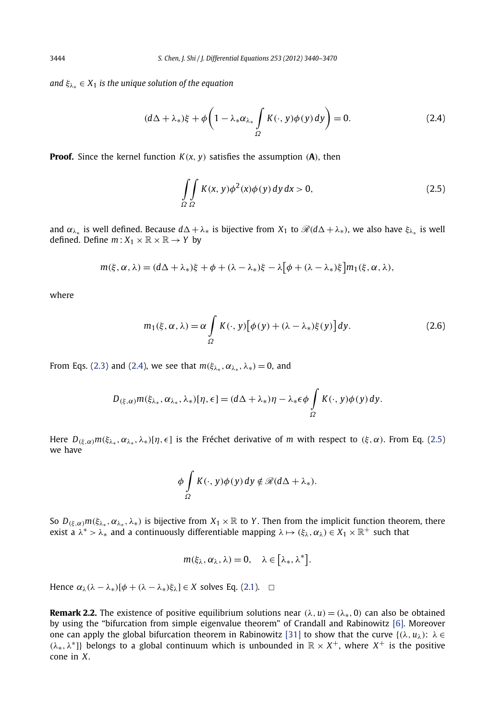<span id="page-5-0"></span>*and ξλ*<sup>∗</sup> ∈ *X*<sup>1</sup> *is the unique solution of the equation*

$$
(d\Delta + \lambda_*)\xi + \phi\bigg(1 - \lambda_*\alpha_{\lambda_*}\int\limits_{\Omega}K(\cdot, y)\phi(y)\,dy\bigg) = 0. \tag{2.4}
$$

**Proof.** Since the kernel function  $K(x, y)$  satisfies the assumption  $(A)$ , then

$$
\iint\limits_{\Omega} K(x, y)\phi^2(x)\phi(y) \,dy \,dx > 0,\tag{2.5}
$$

and  $\alpha_{\lambda_*}$  is well defined. Because  $d\Delta + \lambda_*$  is bijective from  $X_1$  to  $\mathcal{R}(d\Delta + \lambda_*)$ , we also have  $\xi_{\lambda_*}$  is well defined. Define  $m: X_1 \times \mathbb{R} \times \mathbb{R} \rightarrow Y$  by

$$
m(\xi, \alpha, \lambda) = (d\Delta + \lambda_*)\xi + \phi + (\lambda - \lambda_*)\xi - \lambda[\phi + (\lambda - \lambda_*)\xi]m_1(\xi, \alpha, \lambda),
$$

where

$$
m_1(\xi, \alpha, \lambda) = \alpha \int_{\Omega} K(\cdot, y) [\phi(y) + (\lambda - \lambda_*) \xi(y)] dy.
$$
 (2.6)

From Eqs. [\(2.3\)](#page-4-0) and (2.4), we see that  $m(\xi_{\lambda*}, \alpha_{\lambda*}, \lambda_*) = 0$ , and

$$
D_{(\xi,\alpha)}m(\xi_{\lambda_*},\alpha_{\lambda_*},\lambda_*)[\eta,\epsilon]=(d\Delta+\lambda_*)\eta-\lambda_*\epsilon\phi\int\limits_{\Omega}K(\cdot,y)\phi(y)\,dy.
$$

Here  $D_{(\xi,\alpha)}m(\xi_{\lambda_*},\alpha_{\lambda_*},\lambda_*)[\eta,\epsilon]$  is the Fréchet derivative of *m* with respect to  $(\xi,\alpha)$ . From Eq. (2.5) we have

$$
\phi \int\limits_{\Omega} K(\cdot, y) \phi(y) \, dy \notin \mathcal{R}(d\Delta + \lambda_*)
$$

So  $D_{(\xi,\alpha)}m(\xi_{\lambda_*},\alpha_{\lambda_*},\lambda_*)$  is bijective from  $X_1 \times \mathbb{R}$  to *Y*. Then from the implicit function theorem, there exist a  $\lambda^* > \lambda_*$  and a continuously differentiable mapping  $\lambda \mapsto (\xi_\lambda, \alpha_\lambda) \in X_1 \times \mathbb{R}^+$  such that

$$
m(\xi_{\lambda},\alpha_{\lambda},\lambda)=0, \quad \lambda\in[\lambda_*,\lambda^*].
$$

Hence  $\alpha_{\lambda}(\lambda - \lambda_{*})[\phi + (\lambda - \lambda_{*})\xi_{\lambda}] \in X$  solves Eq. [\(2.1\)](#page-4-0).  $\Box$ 

**Remark 2.2.** The existence of positive equilibrium solutions near  $(\lambda, u) = (\lambda_*, 0)$  can also be obtained by using the "bifurcation from simple eigenvalue theorem" of Crandall and Rabinowitz [\[6\].](#page-30-0) Moreover one can apply the global bifurcation theorem in Rabinowitz [\[31\]](#page-31-0) to show that the curve  $\{(\lambda, u_\lambda): \lambda \in$ *(λ*<sub>\*</sub>,  $\lambda^*$ ]} belongs to a global continuum which is unbounded in  $\mathbb{R} \times X^+$ , where  $X^+$  is the positive cone in *X*.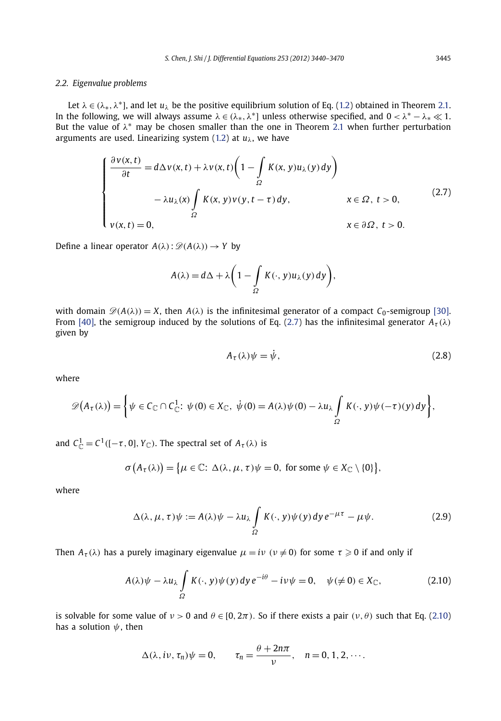#### <span id="page-6-0"></span>*2.2. Eigenvalue problems*

Let  $\lambda \in (\lambda_*, \lambda^*]$ , and let  $u_\lambda$  be the positive equilibrium solution of Eq. [\(1.2](#page-2-0)) obtained in Theorem [2.1.](#page-4-0) In the following, we will always assume  $\lambda \in (\lambda_*, \lambda^*)$  unless otherwise specified, and  $0 < \lambda^* - \lambda_* \ll 1$ . But the value of  $\lambda^*$  may be chosen smaller than the one in Theorem [2.1](#page-4-0) when further perturbation arguments are used. Linearizing system [\(1.2](#page-2-0)) at *uλ*, we have

$$
\begin{cases}\n\frac{\partial v(x,t)}{\partial t} = d\Delta v(x,t) + \lambda v(x,t) \left(1 - \int_{\Omega} K(x,y) u_{\lambda}(y) dy\right) \\
-\lambda u_{\lambda}(x) \int_{\Omega} K(x,y) v(y,t-\tau) dy, & x \in \Omega, \ t > 0, \\
v(x,t) = 0, & x \in \partial\Omega, \ t > 0.\n\end{cases}
$$
\n(2.7)

Define a linear operator  $A(\lambda): \mathscr{D}(A(\lambda)) \to Y$  by

$$
A(\lambda) = d\Delta + \lambda \bigg(1 - \int\limits_{\Omega} K(\cdot, y) u_{\lambda}(y) dy\bigg),
$$

with domain  $\mathcal{D}(A(\lambda)) = X$ , then  $A(\lambda)$  is the infinitesimal generator of a compact  $C_0$ -semigroup [\[30\].](#page-31-0) From [\[40\],](#page-31-0) the semigroup induced by the solutions of Eq. (2.7) has the infinitesimal generator  $A_{\tau}(\lambda)$ given by

$$
A_{\tau}(\lambda)\psi = \dot{\psi},\tag{2.8}
$$

where

$$
\mathscr{D}(A_{\tau}(\lambda)) = \bigg\{\psi \in C_{\mathbb{C}} \cap C_{\mathbb{C}}^1 : \psi(0) \in X_{\mathbb{C}}, \ \dot{\psi}(0) = A(\lambda)\psi(0) - \lambda u_{\lambda} \int_{\Omega} K(\cdot, y)\psi(-\tau)(y) \, dy\bigg\},\
$$

and  $C^1_{\mathbb{C}} = C^1([-\tau,0],Y_{\mathbb{C}})$ . The spectral set of  $A_{\tau}(\lambda)$  is

$$
\sigma(A_{\tau}(\lambda)) = \big\{\mu \in \mathbb{C} \colon \Delta(\lambda, \mu, \tau)\psi = 0, \text{ for some } \psi \in X_{\mathbb{C}} \setminus \{0\}\big\},\
$$

where

$$
\Delta(\lambda, \mu, \tau)\psi := A(\lambda)\psi - \lambda u_{\lambda} \int_{\Omega} K(\cdot, y)\psi(y) dy e^{-\mu\tau} - \mu\psi.
$$
 (2.9)

Then  $A_{\tau}(\lambda)$  has a purely imaginary eigenvalue  $\mu = i\nu$   $(\nu \neq 0)$  for some  $\tau \geqslant 0$  if and only if

$$
A(\lambda)\psi - \lambda u_{\lambda} \int_{\Omega} K(\cdot, y)\psi(y) \, dy \, e^{-i\theta} - i\nu\psi = 0, \quad \psi(\neq 0) \in X_{\mathbb{C}}, \tag{2.10}
$$

is solvable for some value of  $ν$  > 0 and  $θ$  ∈ [0, 2π). So if there exists a pair  $(ν, θ)$  such that Eq. (2.10) has a solution *ψ*, then

$$
\Delta(\lambda, i\nu, \tau_n)\psi = 0, \qquad \tau_n = \frac{\theta + 2n\pi}{\nu}, \quad n = 0, 1, 2, \cdots.
$$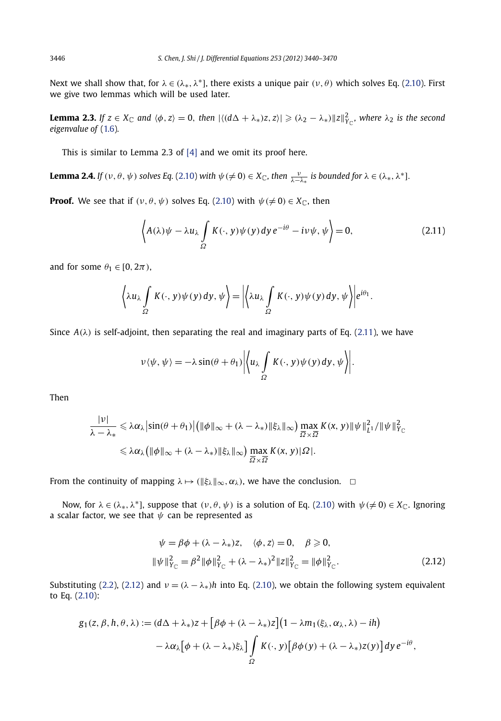<span id="page-7-0"></span>Next we shall show that, for  $\lambda \in (\lambda_*, \lambda^*]$ , there exists a unique pair  $(\nu, \theta)$  which solves Eq. [\(2.10\)](#page-6-0). First we give two lemmas which will be used later.

**Lemma 2.3.** If  $z \in X_{\mathbb{C}}$  and  $\langle \phi, z \rangle = 0$ , then  $|\langle (d\Delta + \lambda_*)z, z \rangle| \geq (\lambda_2 - \lambda_*) ||z||_{Y_{\mathbb{C}}}^2$ , where  $\lambda_2$  is the second *eigenvalue of* [\(1.6](#page-3-0))*.*

This is similar to Lemma 2.3 of [\[4\]](#page-30-0) and we omit its proof here.

**Lemma 2.4.** *If*  $(v, \theta, \psi)$  solves Eq. [\(2.10\)](#page-6-0) with  $\psi \neq 0$ )  $\in X_{\mathbb{C}}$ , then  $\frac{v}{\lambda - \lambda_*}$  is bounded for  $\lambda \in (\lambda_*, \lambda^*]$ .

**Proof.** We see that if  $(\nu, \theta, \psi)$  solves Eq. [\(2.10\)](#page-6-0) with  $\psi \neq 0$ )  $\in X_{\mathbb{C}}$ , then

$$
\left\langle A(\lambda)\psi - \lambda u_{\lambda} \int_{\Omega} K(\cdot, y)\psi(y) dy e^{-i\theta} - i\nu \psi, \psi \right\rangle = 0, \tag{2.11}
$$

and for some  $\theta_1 \in [0, 2\pi)$ ,

$$
\left\langle \lambda u_{\lambda} \int\limits_{\Omega} K(\cdot, y) \psi(y) dy, \psi \right\rangle = \left| \left\langle \lambda u_{\lambda} \int\limits_{\Omega} K(\cdot, y) \psi(y) dy, \psi \right\rangle \right| e^{i\theta_1}.
$$

Since  $A(\lambda)$  is self-adjoint, then separating the real and imaginary parts of Eq. (2.11), we have

$$
v \langle \psi, \psi \rangle = -\lambda \sin(\theta + \theta_1) \left| \left\langle u_{\lambda} \int_{\Omega} K(\cdot, y) \psi(y) dy, \psi \right\rangle \right|.
$$

Then

$$
\frac{|\nu|}{\lambda - \lambda_*} \leq \lambda \alpha_{\lambda} |\sin(\theta + \theta_1)| \left( \|\phi\|_{\infty} + (\lambda - \lambda_*) \|\xi_{\lambda}\|_{\infty} \right) \max_{\overline{\Omega} \times \overline{\Omega}} K(x, y) \|\psi\|_{L^1}^2 / \|\psi\|_{Y_{\mathbb{C}}}^2
$$
  

$$
\leq \lambda \alpha_{\lambda} (\|\phi\|_{\infty} + (\lambda - \lambda_*) \|\xi_{\lambda}\|_{\infty}) \max_{\overline{\Omega} \times \overline{\Omega}} K(x, y) |\Omega|.
$$

From the continuity of mapping  $\lambda \mapsto (\|\xi_\lambda\|_\infty, \alpha_\lambda)$ , we have the conclusion.  $\Box$ 

Now, for  $\lambda \in (\lambda_*, \lambda^*]$ , suppose that  $(\nu, \theta, \psi)$  is a solution of Eq. [\(2.10\)](#page-6-0) with  $\psi(\neq 0) \in X_{\mathbb{C}}$ . Ignoring a scalar factor, we see that  $\psi$  can be represented as

$$
\psi = \beta \phi + (\lambda - \lambda_*) z, \quad \langle \phi, z \rangle = 0, \quad \beta \ge 0,
$$
  

$$
\|\psi\|_{Y_{\mathbb{C}}}^2 = \beta^2 \|\phi\|_{Y_{\mathbb{C}}}^2 + (\lambda - \lambda_*)^2 \|z\|_{Y_{\mathbb{C}}}^2 = \|\phi\|_{Y_{\mathbb{C}}}^2.
$$
 (2.12)

Substituting [\(2.2\)](#page-4-0), (2.12) and  $v = (\lambda - \lambda_*)h$  into Eq. [\(2.10\)](#page-6-0), we obtain the following system equivalent to Eq. [\(2.10\)](#page-6-0):

$$
g_1(z, \beta, h, \theta, \lambda) := (d\Delta + \lambda_*)z + [\beta\phi + (\lambda - \lambda_*)z](1 - \lambda m_1(\xi_\lambda, \alpha_\lambda, \lambda) - ih)
$$
  

$$
- \lambda \alpha_\lambda [\phi + (\lambda - \lambda_*)\xi_\lambda] \int\limits_{\Omega} K(\cdot, y) [\beta\phi(y) + (\lambda - \lambda_*)z(y)] dy e^{-i\theta},
$$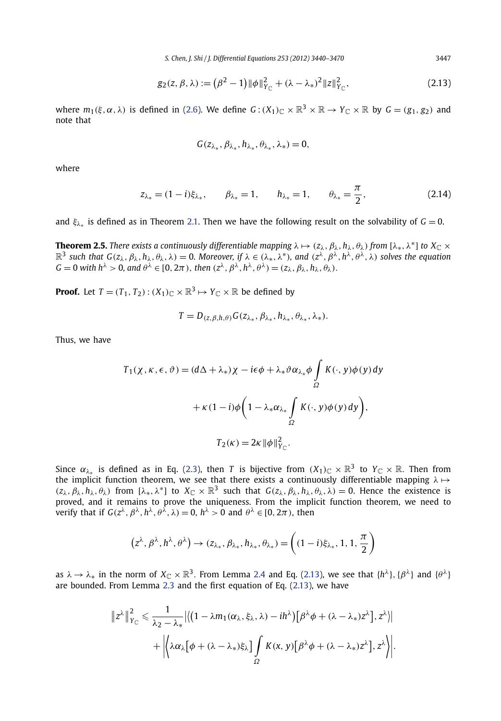$$
g_2(z,\beta,\lambda) := (\beta^2 - 1) \|\phi\|_{Y_{\mathbb{C}}}^2 + (\lambda - \lambda_*)^2 \|z\|_{Y_{\mathbb{C}}}^2,
$$
\n(2.13)

<span id="page-8-0"></span>where  $m_1(\xi, \alpha, \lambda)$  is defined in [\(2.6\)](#page-5-0). We define  $G: (X_1)_\mathbb{C} \times \mathbb{R}^3 \times \mathbb{R} \to Y_\mathbb{C} \times \mathbb{R}$  by  $G = (g_1, g_2)$  and note that

$$
G(z_{\lambda_*}, \beta_{\lambda_*}, h_{\lambda_*}, \theta_{\lambda_*}, \lambda_*) = 0,
$$

where

$$
z_{\lambda_*} = (1 - i)\xi_{\lambda_*}, \qquad \beta_{\lambda_*} = 1, \qquad h_{\lambda_*} = 1, \qquad \theta_{\lambda_*} = \frac{\pi}{2},
$$
 (2.14)

and  $\xi_{\lambda*}$  is defined as in Theorem [2.1.](#page-4-0) Then we have the following result on the solvability of  $G = 0$ .

**Theorem 2.5.** There exists a continuously differentiable mapping  $\lambda \mapsto (z_\lambda, \beta_\lambda, h_\lambda, \theta_\lambda)$  from  $[\lambda_*, \lambda^*]$  to  $X_{\mathbb{C}} \times$  $\mathbb{R}^3$  such that  $G(z_\lambda, \beta_\lambda, h_\lambda, \theta_\lambda, \lambda) = 0$ . Moreover, if  $\lambda \in (\lambda_*, \lambda^*)$ , and  $(z^\lambda, \beta^\lambda, h^\lambda, \theta^\lambda, \lambda)$  solves the equation  $G = 0$  *with*  $h^{\lambda} > 0$ *, and*  $\theta^{\lambda} \in [0, 2\pi)$ *, then*  $(z^{\lambda}, \beta^{\lambda}, h^{\lambda}, \theta^{\lambda}) = (z_{\lambda}, \beta_{\lambda}, h_{\lambda}, \theta_{\lambda})$ *.* 

**Proof.** Let  $T = (T_1, T_2) : (X_1)_\mathbb{C} \times \mathbb{R}^3 \mapsto Y_\mathbb{C} \times \mathbb{R}$  be defined by

$$
T=D_{(z,\beta,\hbar,\theta)}G(z_{\lambda_*},\beta_{\lambda_*},h_{\lambda_*},\theta_{\lambda_*},\lambda_*).
$$

Thus, we have

$$
T_1(\chi, \kappa, \epsilon, \vartheta) = (d\Delta + \lambda_*)\chi - i\epsilon\phi + \lambda_*\vartheta\alpha_{\lambda_*}\phi \int_{\Omega} K(\cdot, y)\phi(y) dy
$$

$$
+ \kappa(1 - i)\phi \left(1 - \lambda_*\alpha_{\lambda_*}\int_{\Omega} K(\cdot, y)\phi(y) dy\right),
$$

$$
T_2(\kappa) = 2\kappa \|\phi\|_{Y_{\mathbb{C}}}^2.
$$

Since  $\alpha_{\lambda_*}$  is defined as in Eq. [\(2.3\)](#page-4-0), then *T* is bijective from  $(X_1)_\mathbb{C} \times \mathbb{R}^3$  to  $Y_\mathbb{C} \times \mathbb{R}$ . Then from the implicit function theorem, we see that there exists a continuously differentiable mapping *λ* →  $(z_{\lambda}, \beta_{\lambda}, h_{\lambda}, \theta_{\lambda})$  from  $[\lambda_*, \lambda^*]$  to  $X_{\mathbb{C}} \times \mathbb{R}^3$  such that  $G(z_{\lambda}, \beta_{\lambda}, h_{\lambda}, \theta_{\lambda}, \lambda) = 0$ . Hence the existence is proved, and it remains to prove the uniqueness. From the implicit function theorem, we need to verify that if  $G(z^{\lambda}, \beta^{\lambda}, h^{\lambda}, \theta^{\lambda}, \lambda) = 0$ ,  $h^{\lambda} > 0$  and  $\theta^{\lambda} \in [0, 2\pi)$ , then

$$
\left(z^{\lambda},\beta^{\lambda},h^{\lambda},\theta^{\lambda}\right)\to (z_{\lambda_*},\beta_{\lambda_*},h_{\lambda_*},\theta_{\lambda_*})=\left((1-i)\xi_{\lambda_*},1,1,\frac{\pi}{2}\right)
$$

as  $\lambda \to \lambda_*$  in the norm of  $X_{\mathbb{C}} \times \mathbb{R}^3$ . From Lemma [2.4](#page-7-0) and Eq. (2.13), we see that  $\{h^{\lambda}\}, \{\beta^{\lambda}\}\}$  and  $\{\theta^{\lambda}\}\$ are bounded. From Lemma [2.3](#page-7-0) and the first equation of Eq. (2.13), we have

$$
\|z^{\lambda}\|_{Y_{\mathbb{C}}}^2 \leq \frac{1}{\lambda_2 - \lambda_*} \left| \left\langle \left(1 - \lambda m_1(\alpha_{\lambda}, \xi_{\lambda}, \lambda) - ih^{\lambda} \right) \left[ \beta^{\lambda} \phi + (\lambda - \lambda_*) z^{\lambda} \right], z^{\lambda} \right\rangle \right|
$$

$$
+ \left| \left\langle \lambda \alpha_{\lambda} \left[ \phi + (\lambda - \lambda_*) \xi_{\lambda} \right] \int_{\Omega} K(x, y) \left[ \beta^{\lambda} \phi + (\lambda - \lambda_*) z^{\lambda} \right], z^{\lambda} \right\rangle \right|.
$$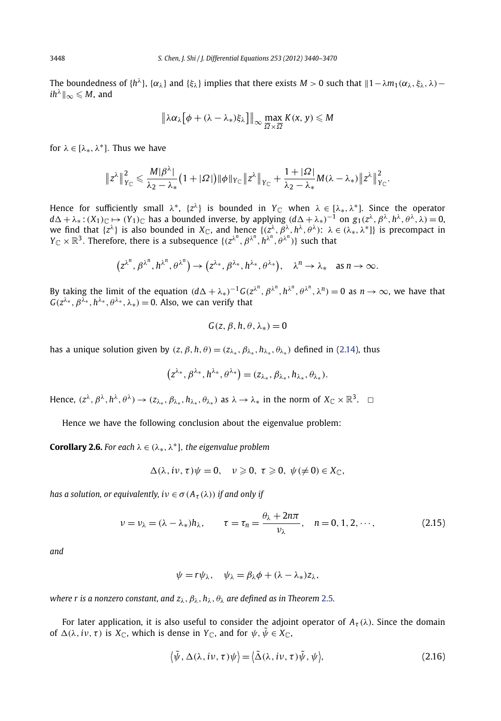<span id="page-9-0"></span>The boundedness of  ${h^{\lambda}}$ ,  ${\alpha_{\lambda}}$  and  ${\xi_{\lambda}}$  implies that there exists *M* > 0 such that  $||1 - \lambda m_1(\alpha_{\lambda}, \xi_{\lambda}, \lambda)$  $ih^{\lambda}||_{\infty} \leqslant M$ , and

$$
\left\|\lambda\alpha_{\lambda}\big[\phi+(\lambda-\lambda_*)\xi_{\lambda}\big]\right\|_{\infty}\max_{\overline{\Omega}\times\overline{\Omega}}K(x, y)\leqslant M
$$

for  $\lambda \in [\lambda_*, \lambda^*]$ . Thus we have

$$
\left\|z^\lambda\right\|_{Y_{\mathbb C}}^2\leqslant \frac{M|\beta^\lambda|}{\lambda_2-\lambda_*}\big(1+|\Omega|\big)\|\phi\|_{Y_{\mathbb C}}\big\|z^\lambda\big\|_{Y_{\mathbb C}}+\frac{1+|\Omega|}{\lambda_2-\lambda_*}M(\lambda-\lambda_*)\big\|z^\lambda\big\|_{Y_{\mathbb C}}^2.
$$

Hence for sufficiently small  $\lambda^*$ ,  $\{z^{\lambda}\}\$ is bounded in  $Y_{\mathbb{C}}$  when  $\lambda \in [\lambda_*, \lambda^*]$ . Since the operator *d*  $\Delta + \lambda_*$ :  $(X_1)$ <sub>*C*</sub> →  $(Y_1)$ <sub>*C*</sub> has a bounded inverse, by applying  $(d\Delta + \lambda_*)^{-1}$  on  $g_1(z^{\lambda}, \beta^{\lambda}, h^{\lambda}, \beta^{\lambda}, \lambda) = 0$ , we find that  $\{z^{\lambda}\}\$ is also bounded in  $X_{\mathbb{C}}$ , and hence  $\{(z^{\lambda}, \beta^{\lambda}, h^{\lambda}, \theta^{\lambda})\colon \lambda \in (\lambda_*, \lambda^*]\}$  is precompact in  $Y_{\mathbb{C}} \times \mathbb{R}^3$ . Therefore, there is a subsequence  $\{(z^{\lambda^n}, \beta^{\lambda^n}, h^{\lambda^n}, \theta^{\lambda^n})\}$  such that

$$
(z^{\lambda^n}, \beta^{\lambda^n}, h^{\lambda^n}, \theta^{\lambda^n}) \to (z^{\lambda_*}, \beta^{\lambda_*}, h^{\lambda_*}, \theta^{\lambda_*}), \quad \lambda^n \to \lambda_* \quad \text{as } n \to \infty.
$$

By taking the limit of the equation  $(d\Delta+\lambda_*)^{-1}G(z^{\lambda^n},\beta^{\lambda^n},h^{\lambda^n},\theta^{\lambda^n},\lambda^n)=0$  as  $n\to\infty$ , we have that  $G(z^{\lambda*}, \beta^{\overline{\lambda}*}, h^{\lambda*}, \theta^{\lambda*}, \lambda_*) = 0$ . Also, we can verify that

$$
G(z, \beta, h, \theta, \lambda_*) = 0
$$

has a unique solution given by  $(z, \beta, h, \theta) = (z_{\lambda_*}, \beta_{\lambda_*}, h_{\lambda_*}, \theta_{\lambda_*})$  defined in [\(2.14\)](#page-8-0), thus

$$
(z^{\lambda_*}, \beta^{\lambda_*}, h^{\lambda_*}, \theta^{\lambda_*}) = (z_{\lambda_*}, \beta_{\lambda_*}, h_{\lambda_*}, \theta_{\lambda_*}).
$$

Hence,  $(z^{\lambda}, \beta^{\lambda}, h^{\lambda}, \theta^{\lambda}) \rightarrow (z_{\lambda}, \beta_{\lambda}, h_{\lambda}, \theta_{\lambda})$  as  $\lambda \rightarrow \lambda_*$  in the norm of  $X_{\mathbb{C}} \times \mathbb{R}^3$ .  $\Box$ 

Hence we have the following conclusion about the eigenvalue problem:

**Corollary 2.6.** *For each*  $\lambda \in (\lambda_*, \lambda^*]$ *, the eigenvalue problem* 

$$
\Delta(\lambda,i\nu,\tau)\psi=0,\quad \nu\geqslant 0,\ \tau\geqslant 0,\ \psi(\neq0)\in X_{\mathbb C},
$$

*has a solution, or equivalently, i* $\nu \in \sigma(A_\tau(\lambda))$  *if and only if* 

$$
\nu = \nu_{\lambda} = (\lambda - \lambda_*)h_{\lambda}, \qquad \tau = \tau_n = \frac{\theta_{\lambda} + 2n\pi}{\nu_{\lambda}}, \quad n = 0, 1, 2, \cdots,
$$
 (2.15)

*and*

$$
\psi = r\psi_{\lambda}, \quad \psi_{\lambda} = \beta_{\lambda}\phi + (\lambda - \lambda_{*})z_{\lambda},
$$

*where r is a nonzero constant, and*  $z_\lambda$ *,*  $\beta_\lambda$ *,*  $h_\lambda$ *,*  $\theta_\lambda$  *are defined as in Theorem [2.5](#page-8-0).* 

For later application, it is also useful to consider the adjoint operator of  $A<sub>\tau</sub>(\lambda)$ . Since the domain of  $\Delta(\lambda, i\nu, \tau)$  is  $X_{\mathbb{C}}$ , which is dense in  $Y_{\mathbb{C}}$ , and for  $\psi, \psi \in X_{\mathbb{C}}$ ,

$$
\langle \tilde{\psi}, \Delta(\lambda, i\nu, \tau)\psi \rangle = \langle \tilde{\Delta}(\lambda, i\nu, \tau)\tilde{\psi}, \psi \rangle, \tag{2.16}
$$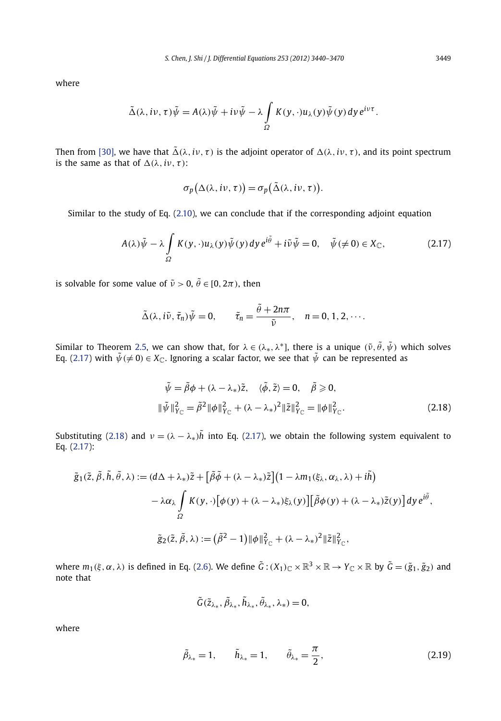where

$$
\tilde{\Delta}(\lambda, i\nu, \tau)\tilde{\psi} = A(\lambda)\tilde{\psi} + i\nu\tilde{\psi} - \lambda \int_{\Omega} K(y, \cdot)u_{\lambda}(y)\tilde{\psi}(y) dy e^{i\nu\tau}.
$$

Then from [\[30\],](#page-31-0) we have that  $\tilde{\Delta}(\lambda, i\nu, \tau)$  is the adjoint operator of  $\Delta(\lambda, i\nu, \tau)$ , and its point spectrum is the same as that of  $\Delta(\lambda, i\nu, \tau)$ :

$$
\sigma_p(\Delta(\lambda, i\nu, \tau)) = \sigma_p(\tilde{\Delta}(\lambda, i\nu, \tau)).
$$

Similar to the study of Eq. [\(2.10\)](#page-6-0), we can conclude that if the corresponding adjoint equation

$$
A(\lambda)\tilde{\psi} - \lambda \int\limits_{\Omega} K(y,\cdot)u_{\lambda}(y)\tilde{\psi}(y) \,dy \,e^{i\tilde{\theta}} + i\tilde{\nu}\tilde{\psi} = 0, \quad \tilde{\psi}(\neq 0) \in X_{\mathbb{C}},\tag{2.17}
$$

is solvable for some value of  $\tilde{v} > 0$ ,  $\tilde{\theta} \in [0, 2\pi)$ , then

$$
\tilde{\Delta}(\lambda, i\tilde{\nu}, \tilde{\tau}_n)\tilde{\psi} = 0, \qquad \tilde{\tau}_n = \frac{\tilde{\theta} + 2n\pi}{\tilde{\nu}}, \quad n = 0, 1, 2, \cdots.
$$

Similar to Theorem [2.5,](#page-8-0) we can show that, for  $\lambda \in (\lambda_*, \lambda^*]$ , there is a unique  $(\tilde{\nu}, \tilde{\theta}, \tilde{\psi})$  which solves Eq. (2.17) with  $\tilde{\psi}(\neq0)\in X_{\mathbb{C}}.$  Ignoring a scalar factor, we see that  $\tilde{\psi}$  can be represented as

$$
\tilde{\psi} = \tilde{\beta}\phi + (\lambda - \lambda_*)\tilde{z}, \quad \langle \tilde{\phi}, \tilde{z} \rangle = 0, \quad \tilde{\beta} \ge 0,
$$
  

$$
\|\tilde{\psi}\|^2_{Y_{\mathbb{C}}} = \tilde{\beta}^2 \|\phi\|^2_{Y_{\mathbb{C}}} + (\lambda - \lambda_*)^2 \|\tilde{z}\|^2_{Y_{\mathbb{C}}} = \|\phi\|^2_{Y_{\mathbb{C}}}.
$$
 (2.18)

Substituting (2.18) and  $v = (\lambda - \lambda_*)$ *h* into Eq. (2.17), we obtain the following system equivalent to Eq. (2.17):

$$
\tilde{g}_{1}(\tilde{z}, \tilde{\beta}, \tilde{h}, \tilde{\theta}, \lambda) := (d\Delta + \lambda_{*})\tilde{z} + \left[\tilde{\beta}\tilde{\phi} + (\lambda - \lambda_{*})\tilde{z}\right](1 - \lambda m_{1}(\xi_{\lambda}, \alpha_{\lambda}, \lambda) + i\tilde{h})
$$

$$
- \lambda \alpha_{\lambda} \int_{\Omega} K(y, \cdot) [\phi(y) + (\lambda - \lambda_{*})\xi_{\lambda}(y)] \left[\tilde{\beta}\phi(y) + (\lambda - \lambda_{*})\tilde{z}(y)\right] dy e^{i\tilde{\theta}},
$$

$$
\tilde{g}_{2}(\tilde{z}, \tilde{\beta}, \lambda) := (\tilde{\beta}^{2} - 1) ||\phi||_{Y_{\mathbb{C}}}^{2} + (\lambda - \lambda_{*})^{2} ||\tilde{z}||_{Y_{\mathbb{C}}}^{2},
$$

where  $m_1(\xi, \alpha, \lambda)$  is defined in Eq. [\(2.6\)](#page-5-0). We define  $\tilde{G}$  :  $(X_1)_\mathbb{C} \times \mathbb{R}^3 \times \mathbb{R} \to Y_\mathbb{C} \times \mathbb{R}$  by  $\tilde{G} = (\tilde{g}_1, \tilde{g}_2)$  and note that

$$
\tilde{G}(\tilde{z}_{\lambda_*},\tilde{\beta}_{\lambda_*},\tilde{h}_{\lambda_*},\tilde{\theta}_{\lambda_*},\lambda_*)=0,
$$

where

$$
\tilde{\beta}_{\lambda_*} = 1, \qquad \tilde{h}_{\lambda_*} = 1, \qquad \tilde{\theta}_{\lambda_*} = \frac{\pi}{2}, \tag{2.19}
$$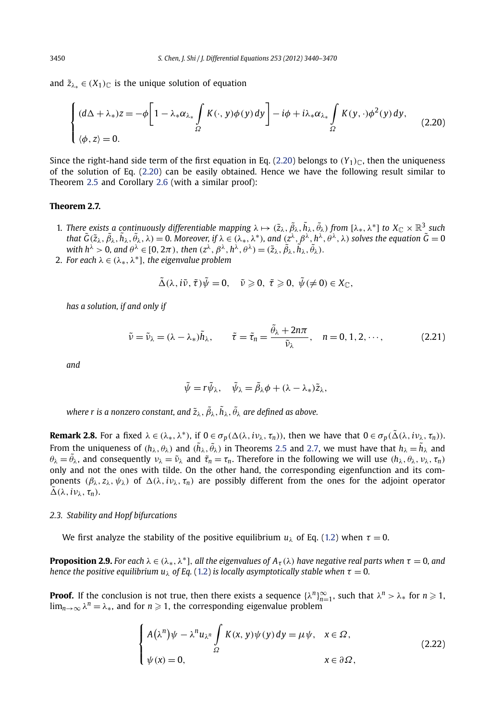<span id="page-11-0"></span>and  $\tilde{z}_{\lambda}$  ∈  $(X_1)$ <sub>C</sub> is the unique solution of equation

$$
\begin{cases} (d\Delta + \lambda_*) z = -\phi \bigg[ 1 - \lambda_* \alpha_{\lambda_*} \int\limits_{\Omega} K(\cdot, y) \phi(y) \, dy \bigg] - i\phi + i\lambda_* \alpha_{\lambda_*} \int\limits_{\Omega} K(y, \cdot) \phi^2(y) \, dy, \\ (\phi, z) = 0. \end{cases} \tag{2.20}
$$

Since the right-hand side term of the first equation in Eq. (2.20) belongs to  $(Y_1)_{\mathbb{C}}$ , then the uniqueness of the solution of Eq. (2.20) can be easily obtained. Hence we have the following result similar to Theorem [2.5](#page-8-0) and Corollary [2.6](#page-9-0) (with a similar proof):

#### **Theorem 2.7.**

- 1. *There exists a continuously differentiable mapping*  $\lambda \mapsto (\tilde{z}_\lambda, \tilde{\beta}_\lambda, \tilde{h}_\lambda, \tilde{\theta}_\lambda)$  *from*  $[\lambda_*, \lambda^*]$  to  $X_{\mathbb{C}} \times \mathbb{R}^3$  *such* that  $\tilde{G}(\tilde{z}_\lambda,\tilde{\beta}_\lambda,\tilde{h}_\lambda,\tilde{\phi}_\lambda,\lambda)=0.$  Moreover, if  $\lambda\in (\lambda_*,\lambda^*),$  and  $(z^\lambda,\beta^\lambda,h^\lambda,\theta^\lambda,\lambda)$  solves the equation  $\tilde{G}=0$ with  $h^{\lambda} > 0$ , and  $\theta^{\lambda} \in [0, 2\pi)$ , then  $(z^{\lambda}, \beta^{\lambda}, h^{\lambda}, \theta^{\lambda}) = (\tilde{z}_{\lambda}, \tilde{\beta}_{\lambda}, \tilde{h}_{\lambda}, \tilde{\theta}_{\lambda})$ .
- 2. *For each*  $\lambda \in (\lambda_*, \lambda^*]$ , *the eigenvalue problem*

$$
\tilde{\Delta}(\lambda, i\tilde{\nu}, \tilde{\tau})\tilde{\psi}=0, \quad \tilde{\nu}\geqslant 0, \ \tilde{\tau}\geqslant 0, \ \tilde{\psi}(\neqslant 0)\in X_{\mathbb{C}},
$$

*has a solution, if and only if*

$$
\tilde{\nu} = \tilde{\nu}_{\lambda} = (\lambda - \lambda_{*})\tilde{h}_{\lambda}, \qquad \tilde{\tau} = \tilde{\tau}_{n} = \frac{\tilde{\theta}_{\lambda} + 2n\pi}{\tilde{\nu}_{\lambda}}, \quad n = 0, 1, 2, \cdots,
$$
\n(2.21)

*and*

$$
\tilde{\psi} = r\tilde{\psi}_{\lambda}, \quad \tilde{\psi}_{\lambda} = \tilde{\beta}_{\lambda}\phi + (\lambda - \lambda_{*})\tilde{z}_{\lambda},
$$

where  $r$  is a nonzero constant, and  $\tilde{z}_\lambda, \tilde{\beta}_\lambda, \tilde{h}_\lambda, \tilde{\theta}_\lambda$  are defined as above.

**Remark 2.8.** For a fixed  $\lambda \in (\lambda_*, \lambda^*)$ , if  $0 \in \sigma_p(\Delta(\lambda, i\nu_\lambda, \tau_n))$ , then we have that  $0 \in \sigma_p(\tilde{\Delta}(\lambda, i\nu_\lambda, \tau_n))$ . From the uniqueness of  $(h_\lambda,\theta_\lambda)$  and  $(\tilde{h}_\lambda,\tilde{\theta}_\lambda)$  in Theorems [2.5](#page-8-0) and 2.7, we must have that  $h_\lambda=\tilde{h}_\lambda$  and *θ*<sub>λ</sub> =  $\tilde{\theta}$ <sub>λ</sub>, and consequently  $v_\lambda = \tilde{v}_\lambda$  and  $\tilde{\tau}_n = \tau_n$ . Therefore in the following we will use  $(h_\lambda, \theta_\lambda, v_\lambda, \tau_n)$ only and not the ones with tilde. On the other hand, the corresponding eigenfunction and its components  $(\beta_{\lambda}, z_{\lambda}, \psi_{\lambda})$  of  $\Delta(\lambda, i\nu_{\lambda}, \tau_n)$  are possibly different from the ones for the adjoint operator  $\tilde{\Delta}(\lambda, i\nu_\lambda, \tau_n)$ .

#### *2.3. Stability and Hopf bifurcations*

We first analyze the stability of the positive equilibrium  $u_\lambda$  of Eq. [\(1.2](#page-2-0)) when  $\tau = 0$ .

**Proposition 2.9.** For each  $\lambda \in (\lambda_*, \lambda^*)$ , all the eigenvalues of  $A_\tau(\lambda)$  have negative real parts when  $\tau = 0$ , and *hence the positive equilibrium u<sub>λ</sub> of Eq.* [\(1.2\)](#page-2-0) *is locally asymptotically stable when*  $\tau = 0$ *.* 

**Proof.** If the conclusion is not true, then there exists a sequence  $\{\lambda^n\}_{n=1}^{\infty}$ , such that  $\lambda^n > \lambda_*$  for  $n \geq 1$ ,  $\lim_{n\to\infty}\lambda^n=\lambda_*$ , and for  $n\geqslant 1$ , the corresponding eigenvalue problem

$$
\begin{cases}\nA(\lambda^n)\psi - \lambda^n u_{\lambda^n} \int\limits_{\Omega} K(x, y)\psi(y) \, dy = \mu \psi, & x \in \Omega, \\
\psi(x) = 0, & x \in \partial\Omega,\n\end{cases}
$$
\n(2.22)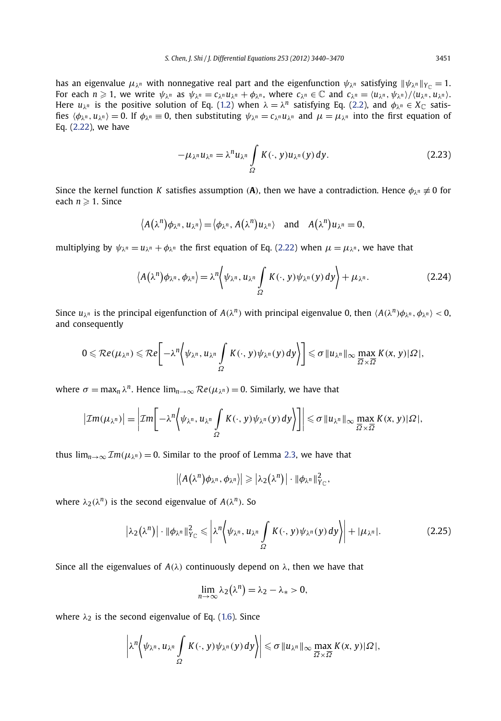<span id="page-12-0"></span>has an eigenvalue  $\mu_{\lambda^n}$  with nonnegative real part and the eigenfunction  $\psi_{\lambda^n}$  satisfying  $\|\psi_{\lambda^n}\|_{Y_{\lambda^n}} = 1$ . For each  $n \geq 1$ , we write  $\psi_{\lambda^n}$  as  $\psi_{\lambda^n} = c_{\lambda^n} u_{\lambda^n} + \phi_{\lambda^n}$ , where  $c_{\lambda^n} \in \mathbb{C}$  and  $c_{\lambda^n} = \langle u_{\lambda^n}, \psi_{\lambda^n} \rangle / \langle u_{\lambda^n}, u_{\lambda^n} \rangle$ . Here  $u_{\lambda^n}$  is the positive solution of Eq. [\(1.2\)](#page-2-0) when  $\lambda = \lambda^n$  satisfying Eq. [\(2.2\)](#page-4-0), and  $\phi_{\lambda^n} \in X_{\mathbb{C}}$  satisfies  $\langle \phi_{\lambda^n}, u_{\lambda^n} \rangle = 0$ . If  $\phi_{\lambda^n} \equiv 0$ , then substituting  $\psi_{\lambda^n} = c_{\lambda^n} u_{\lambda^n}$  and  $\mu = \mu_{\lambda^n}$  into the first equation of Eq. [\(2.22\)](#page-11-0), we have

$$
-\mu_{\lambda^n}u_{\lambda^n} = \lambda^n u_{\lambda^n} \int\limits_{\Omega} K(\cdot, y)u_{\lambda^n}(y) \, dy. \tag{2.23}
$$

Since the kernel function *K* satisfies assumption *(***A***)*, then we have a contradiction. Hence *φλ<sup>n</sup>* ≡ 0 for each  $n \geqslant 1$ . Since

$$
\langle A(\lambda^n)\phi_{\lambda^n},u_{\lambda^n}\rangle=\langle \phi_{\lambda^n},A(\lambda^n)u_{\lambda^n}\rangle
$$
 and  $A(\lambda^n)u_{\lambda^n}=0$ ,

multiplying by  $\psi_{\lambda^n} = u_{\lambda^n} + \phi_{\lambda^n}$  the first equation of Eq. [\(2.22\)](#page-11-0) when  $\mu = \mu_{\lambda^n}$ , we have that

$$
\langle A(\lambda^n)\phi_{\lambda^n},\phi_{\lambda^n}\rangle = \lambda^n \Big\langle \psi_{\lambda^n},u_{\lambda^n}\int_{\Omega} K(\cdot,y)\psi_{\lambda^n}(y)\,dy \Big\rangle + \mu_{\lambda^n}.
$$
 (2.24)

Since  $u_{\lambda^n}$  is the principal eigenfunction of  $A(\lambda^n)$  with principal eigenvalue 0, then  $\langle A(\lambda^n)\phi_{\lambda^n}, \phi_{\lambda^n}\rangle < 0$ , and consequently

$$
0 \leqslant \mathcal{R}e(\mu_{\lambda^n}) \leqslant \mathcal{R}e\bigg[-\lambda^n \bigg\langle \psi_{\lambda^n}, u_{\lambda^n}\int\limits_{\Omega}K(\cdot,y)\psi_{\lambda^n}(y)\,dy\bigg\rangle\bigg] \leqslant \sigma \|u_{\lambda^n}\|_{\infty}\max_{\overline{\Omega}\times\overline{\Omega}}K(x,y)|\Omega|,
$$

where  $\sigma = \max_n \lambda^n$ . Hence  $\lim_{n\to\infty} \mathcal{R}e(\mu_{\lambda^n}) = 0$ . Similarly, we have that

$$
\left|\mathcal{I}m(\mu_{\lambda^n})\right|=\left|\mathcal{I}m\right|-\lambda^n\left\langle\psi_{\lambda^n},u_{\lambda^n}\int_{\Omega}K(\cdot,y)\psi_{\lambda^n}(y)\,dy\right\rangle\right|\leq \sigma\|u_{\lambda^n}\|_{\infty}\max_{\overline{\Omega}\times\overline{\Omega}}K(x,y)|\Omega|,
$$

thus  $\lim_{n\to\infty} \mathcal{I}m(\mu_{\lambda^n}) = 0$ . Similar to the proof of Lemma [2.3,](#page-7-0) we have that

$$
|\langle A(\lambda^n)\phi_{\lambda^n},\phi_{\lambda^n}\rangle| \geqslant |\lambda_2(\lambda^n)|\cdot \|\phi_{\lambda^n}\|_{Y_{\mathbb{C}}}^2,
$$

where  $\lambda_2(\lambda^n)$  is the second eigenvalue of  $A(\lambda^n)$ . So

$$
\left|\lambda_2(\lambda^n)\right|\cdot\left\|\phi_{\lambda^n}\right\|_{Y_{\mathbb{C}}^2}^2\leqslant \left|\lambda^n\left\langle\psi_{\lambda^n},u_{\lambda^n}\int\limits_{\Omega}K(\cdot,y)\psi_{\lambda^n}(y)\,dy\right\rangle\right|+\left|\mu_{\lambda^n}\right|.\tag{2.25}
$$

Since all the eigenvalues of  $A(\lambda)$  continuously depend on  $\lambda$ , then we have that

$$
\lim_{n\to\infty}\lambda_2(\lambda^n)=\lambda_2-\lambda_*>0,
$$

where  $\lambda_2$  is the second eigenvalue of Eq. [\(1.6\)](#page-3-0). Since

$$
\left|\lambda^{n}\left\langle \psi_{\lambda^{n}},u_{\lambda^{n}}\int\limits_{\Omega}K(\cdot,y)\psi_{\lambda^{n}}(y)dy\right\rangle\right|\leqslant \sigma\left\|u_{\lambda^{n}}\right\|_{\infty}\max_{\overline{\Omega}\times\overline{\Omega}}K(x,y)|\Omega|,
$$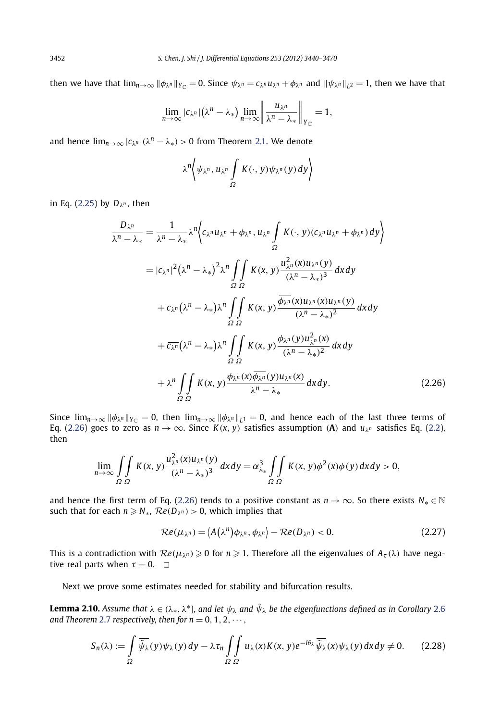then we have that  $\lim_{n\to\infty} ||\phi_{\lambda^n}||_{Y_{\zeta^n}} = 0$ . Since  $\psi_{\lambda^n} = c_{\lambda^n} u_{\lambda^n} + \phi_{\lambda^n}$  and  $||\psi_{\lambda^n}||_{L^2} = 1$ , then we have that

$$
\lim_{n\to\infty} |c_{\lambda^n}|(\lambda^n-\lambda_*)\lim_{n\to\infty}\left\|\frac{u_{\lambda^n}}{\lambda^n-\lambda_*}\right\|_{Y_{\mathbb{C}}} = 1,
$$

and hence  $\lim_{n\to\infty} |c_{\lambda^n}|(\lambda^n - \lambda_*) > 0$  from Theorem [2.1.](#page-4-0) We denote

$$
\lambda^{n}\left\langle \psi_{\lambda^{n}},u_{\lambda^{n}}\int\limits_{\Omega}K(\cdot,y)\psi_{\lambda^{n}}(y)dy\right\rangle
$$

in Eq. [\(2.25\)](#page-12-0) by  $D_{\lambda^n}$ , then

$$
\frac{D_{\lambda^n}}{\lambda^n - \lambda_*} = \frac{1}{\lambda^n - \lambda_*} \lambda^n \Biggl\{ c_{\lambda^n} u_{\lambda^n} + \phi_{\lambda^n}, u_{\lambda^n} \int_S K(\cdot, y) (c_{\lambda^n} u_{\lambda^n} + \phi_{\lambda^n}) dy \Biggr\}
$$
  
\n
$$
= |c_{\lambda^n}|^2 (\lambda^n - \lambda_*)^2 \lambda^n \int_S \int_K K(x, y) \frac{u_{\lambda^n}^2(x) u_{\lambda^n}(y)}{(\lambda^n - \lambda_*)^3} dx dy
$$
  
\n
$$
+ c_{\lambda^n} (\lambda^n - \lambda_*) \lambda^n \int_S \int_K K(x, y) \frac{\overline{\phi_{\lambda^n}}(x) u_{\lambda^n}(x) u_{\lambda^n}(y)}{(\lambda^n - \lambda_*)^2} dx dy
$$
  
\n
$$
+ \overline{c_{\lambda^n}} (\lambda^n - \lambda_*) \lambda^n \int_S \int_K K(x, y) \frac{\overline{\phi_{\lambda^n}}(x) u_{\lambda^n}(x) u_{\lambda^n}(y)}{(\lambda^n - \lambda_*)^2} dx dy
$$
  
\n
$$
+ \lambda^n \int_S \int_K K(x, y) \frac{\phi_{\lambda^n}(y) u_{\lambda^n}^2(x)}{(\lambda^n - \lambda_*)^2} dx dy
$$
  
\n
$$
+ \lambda^n \int_S \int_K K(x, y) \frac{\phi_{\lambda^n}(x) \overline{\phi_{\lambda^n}}(y) u_{\lambda^n}(x)}{(\lambda^n - \lambda_*)^2} dx dy.
$$
 (2.26)

Since  $\lim_{n\to\infty} ||\phi_{\lambda^n}||_{Y_{\mathbb{C}}} = 0$ , then  $\lim_{n\to\infty} ||\phi_{\lambda^n}||_{L^1} = 0$ , and hence each of the last three terms of Eq. (2.26) goes to zero as  $n \to \infty$ . Since  $K(x, y)$  satisfies assumption (A) and  $u_{\lambda}$ <sup>n</sup> satisfies Eq. [\(2.2\)](#page-4-0), then

$$
\lim_{n\to\infty}\iint\limits_{\Omega}\frac{K(x,y)\frac{u_{\lambda^n}^2(x)u_{\lambda^n}(y)}{(\lambda^n-\lambda_*)^3}dxdy=\alpha_{\lambda_*}^3\iint\limits_{\Omega}\frac{K(x,y)\phi^2(x)\phi(y)dxdy>0,
$$

and hence the first term of Eq. (2.26) tends to a positive constant as  $n \to \infty$ . So there exists  $N_* \in \mathbb{N}$  $\mathsf{such that for each } n \geqslant N_*, \, \mathcal{R}e(D_{\lambda^n}) > 0, \, \text{which implies that}$ 

$$
\mathcal{R}e(\mu_{\lambda^n}) = \langle A(\lambda^n)\phi_{\lambda^n}, \phi_{\lambda^n}\rangle - \mathcal{R}e(D_{\lambda^n}) < 0. \tag{2.27}
$$

This is a contradiction with  $Re(\mu_{\lambda^n}) \ge 0$  for  $n \ge 1$ . Therefore all the eigenvalues of  $A_\tau(\lambda)$  have negative real parts when  $\tau = 0$ .  $\Box$ 

Next we prove some estimates needed for stability and bifurcation results.

**Lemma 2.10.** *Assume that*  $\lambda \in (\lambda_*, \lambda^*]$ *, and let*  $\psi_{\lambda}$  *and*  $\tilde{\psi}_{\lambda}$  *be the eigenfunctions defined as in Corollary [2.6](#page-9-0) and Theorem [2.7](#page-11-0) respectively, then for*  $n = 0, 1, 2, \dots$ *,* 

$$
S_n(\lambda) := \int_{\Omega} \overline{\tilde{\psi}_{\lambda}}(y) \psi_{\lambda}(y) dy - \lambda \tau_n \int_{\Omega} \int_{\Omega} u_{\lambda}(x) K(x, y) e^{-i\theta_{\lambda}} \overline{\tilde{\psi}_{\lambda}}(x) \psi_{\lambda}(y) dx dy \neq 0. \tag{2.28}
$$

<span id="page-13-0"></span>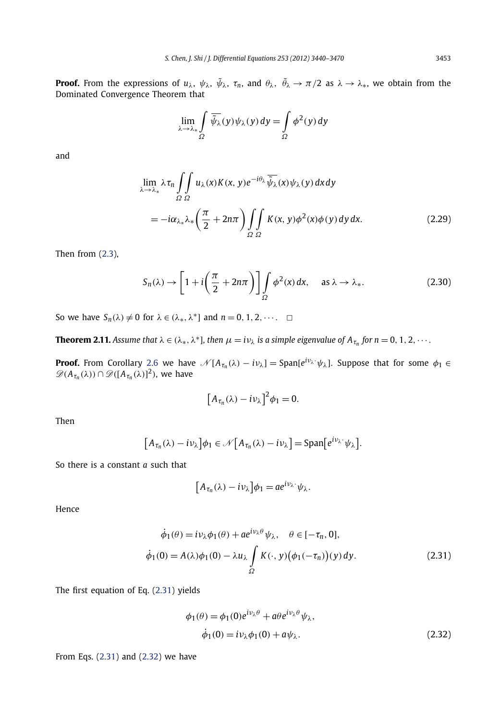<span id="page-14-0"></span>**Proof.** From the expressions of  $u_\lambda$ ,  $\psi_\lambda$ ,  $\tilde{\psi}_\lambda$ ,  $\tau_n$ , and  $\theta_\lambda$ ,  $\tilde{\theta}_\lambda \to \pi/2$  as  $\lambda \to \lambda_*,$  we obtain from the Dominated Convergence Theorem that

$$
\lim_{\lambda \to \lambda_*} \int\limits_{\Omega} \overline{\tilde{\psi}_{\lambda}}(y) \psi_{\lambda}(y) dy = \int\limits_{\Omega} \phi^2(y) dy
$$

and

$$
\lim_{\lambda \to \lambda_*} \lambda \tau_n \iint_{\Omega} u_\lambda(x) K(x, y) e^{-i\theta_\lambda} \overline{\widetilde{\psi}_\lambda}(x) \psi_\lambda(y) dx dy
$$
\n
$$
= -i\alpha_{\lambda_*} \lambda_* \left( \frac{\pi}{2} + 2n\pi \right) \iint_{\Omega} K(x, y) \phi^2(x) \phi(y) dy dx. \tag{2.29}
$$

Then from [\(2.3\)](#page-4-0),

$$
S_n(\lambda) \to \left[1 + i\left(\frac{\pi}{2} + 2n\pi\right)\right] \int_{\Omega} \phi^2(x) dx, \quad \text{as } \lambda \to \lambda_*.
$$
 (2.30)

So we have  $S_n(\lambda) \neq 0$  for  $\lambda \in (\lambda_*, \lambda^*)$  and  $n = 0, 1, 2, \cdots$ .  $\square$ 

**Theorem 2.11.** Assume that  $\lambda \in (\lambda_*, \lambda^*)$ , then  $\mu = i\nu_\lambda$  is a simple eigenvalue of  $A_{\tau_n}$  for  $n = 0, 1, 2, \dots$ .

**Proof.** From Corollary [2.6](#page-9-0) we have  $\mathcal{N}[A_{\tau_n}(\lambda) - i\nu_\lambda] = \text{Span}[e^{i\nu_\lambda \cdot} \psi_\lambda]$ . Suppose that for some  $\phi_1 \in$  $\mathscr{D}(A_{\tau_n}(\lambda)) \cap \mathscr{D}([A_{\tau_n}(\lambda)]^2)$ , we have

$$
\left[A_{\tau_n}(\lambda)-i\nu_\lambda\right]^2\phi_1=0.
$$

Then

$$
[A_{\tau_n}(\lambda)-i\nu_\lambda]\phi_1\in\mathscr{N}[A_{\tau_n}(\lambda)-i\nu_\lambda]=\mathrm{Span}\big[e^{i\nu_\lambda}\psi_\lambda\big].
$$

So there is a constant *a* such that

$$
\left[A_{\tau_n}(\lambda)-i\nu_\lambda\right]\phi_1=ae^{i\nu_\lambda}\psi_\lambda.
$$

Hence

$$
\dot{\phi}_1(\theta) = i\nu_\lambda \phi_1(\theta) + a e^{i\nu_\lambda \theta} \psi_\lambda, \quad \theta \in [-\tau_n, 0],
$$
  

$$
\dot{\phi}_1(0) = A(\lambda)\phi_1(0) - \lambda u_\lambda \int\limits_{\Omega} K(\cdot, y) (\phi_1(-\tau_n))(y) dy.
$$
 (2.31)

The first equation of Eq. (2.31) yields

$$
\phi_1(\theta) = \phi_1(0)e^{i\nu_\lambda\theta} + a\theta e^{i\nu_\lambda\theta}\psi_\lambda,
$$
  
\n
$$
\dot{\phi}_1(0) = i\nu_\lambda\phi_1(0) + a\psi_\lambda.
$$
\n(2.32)

From Eqs. (2.31) and (2.32) we have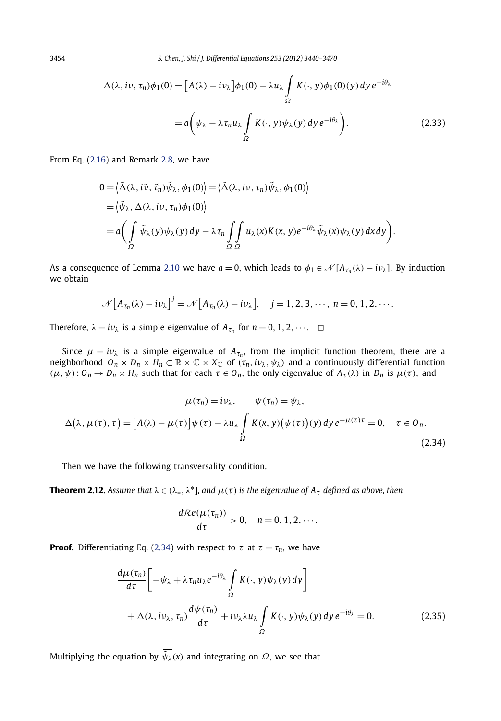$$
\Delta(\lambda, i\nu, \tau_n)\phi_1(0) = [A(\lambda) - i\nu_\lambda]\phi_1(0) - \lambda u_\lambda \int\limits_{\Omega} K(\cdot, y)\phi_1(0)(y) \, dy \, e^{-i\theta_\lambda}
$$

$$
= a\bigg(\psi_\lambda - \lambda \tau_n u_\lambda \int\limits_{\Omega} K(\cdot, y)\psi_\lambda(y) \, dy \, e^{-i\theta_\lambda}\bigg). \tag{2.33}
$$

From Eq. [\(2.16\)](#page-9-0) and Remark [2.8,](#page-11-0) we have

$$
0 = \langle \tilde{\Delta}(\lambda, i\tilde{\nu}, \tilde{\tau}_n) \tilde{\psi}_{\lambda}, \phi_1(0) \rangle = \langle \tilde{\Delta}(\lambda, i\nu, \tau_n) \tilde{\psi}_{\lambda}, \phi_1(0) \rangle
$$
  
=  $\langle \tilde{\psi}_{\lambda}, \Delta(\lambda, i\nu, \tau_n) \phi_1(0) \rangle$   
=  $a \Biggl( \int_{\Omega} \overline{\tilde{\psi}_{\lambda}}(y) \psi_{\lambda}(y) dy - \lambda \tau_n \int_{\Omega} \int_{\Omega} u_{\lambda}(x) K(x, y) e^{-i\theta_{\lambda}} \overline{\tilde{\psi}_{\lambda}}(x) \psi_{\lambda}(y) dx dy \Biggr).$ 

As a consequence of Lemma [2.10](#page-13-0) we have  $a = 0$ , which leads to  $\phi_1 \in \mathcal{N}[A_{\tau_n}(\lambda) - i \nu_{\lambda}]$ . By induction we obtain

$$
\mathcal{N}\big[A_{\tau_n}(\lambda)-i\nu_\lambda\big]^j=\mathcal{N}\big[A_{\tau_n}(\lambda)-i\nu_\lambda\big],\quad j=1,2,3,\cdots,\,n=0,1,2,\cdots.
$$

Therefore,  $\lambda = i\nu_{\lambda}$  is a simple eigenvalue of  $A_{\tau_n}$  for  $n = 0, 1, 2, \cdots$ .  $\Box$ 

Since  $\mu = i\nu_\lambda$  is a simple eigenvalue of  $A_{\tau_n}$ , from the implicit function theorem, there are a neighborhood  $O_n \times D_n \times H_n \subset \mathbb{R} \times \mathbb{C} \times X_{\mathbb{C}}$  of  $(\tau_n, i \nu_\lambda, \psi_\lambda)$  and a continuously differential function *(μ, ψ)*: *O<sub>n</sub>* → *D<sub>n</sub>* × *H<sub>n</sub>* such that for each  $τ ∈ 0<sub>n</sub>$ , the only eigenvalue of  $A<sub>τ</sub>(λ)$  in *D<sub>n</sub>* is  $μ(τ)$ , and

$$
\mu(\tau_n) = i\nu_\lambda, \qquad \psi(\tau_n) = \psi_\lambda,
$$
  

$$
\Delta(\lambda, \mu(\tau), \tau) = [A(\lambda) - \mu(\tau)]\psi(\tau) - \lambda u_\lambda \int_{\Omega} K(x, y) (\psi(\tau)) (y) dy e^{-\mu(\tau)\tau} = 0, \quad \tau \in O_n.
$$
 (2.34)

Then we have the following transversality condition.

**Theorem 2.12.** *Assume that*  $\lambda \in (\lambda_*, \lambda^*]$ *, and*  $\mu(\tau)$  *is the eigenvalue of*  $A_{\tau}$  *defined as above, then* 

$$
\frac{d\mathcal{R}e(\mu(\tau_n))}{d\tau}>0, \quad n=0, 1, 2, \cdots.
$$

**Proof.** Differentiating Eq. (2.34) with respect to  $\tau$  at  $\tau = \tau_n$ , we have

$$
\frac{d\mu(\tau_n)}{d\tau} \left[ -\psi_\lambda + \lambda \tau_n u_\lambda e^{-i\theta_\lambda} \int\limits_{\Omega} K(\cdot, y) \psi_\lambda(y) dy \right] \n+ \Delta(\lambda, i\nu_\lambda, \tau_n) \frac{d\psi(\tau_n)}{d\tau} + i\nu_\lambda \lambda u_\lambda \int\limits_{\Omega} K(\cdot, y) \psi_\lambda(y) dy e^{-i\theta_\lambda} = 0.
$$
\n(2.35)

Multiplying the equation by  $\overline{\psi_{\lambda}}(x)$  and integrating on  $\Omega$ , we see that

<span id="page-15-0"></span>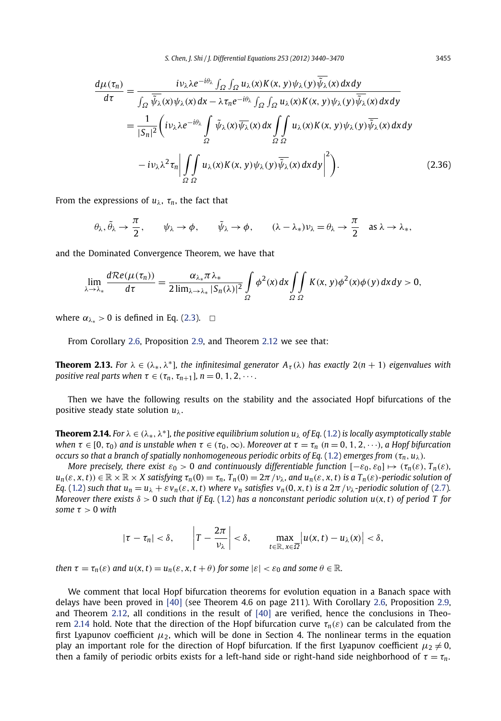<span id="page-16-0"></span>
$$
\frac{d\mu(\tau_n)}{d\tau} = \frac{i\nu_{\lambda}\lambda e^{-i\theta_{\lambda}} \int_{\Omega} \int_{\Omega} u_{\lambda}(x)K(x, y)\psi_{\lambda}(y)\overline{\psi_{\lambda}}(x) dx dy}{\int_{\Omega} \overline{\psi_{\lambda}}(x)\psi_{\lambda}(x) dx - \lambda \tau_n e^{-i\theta_{\lambda}} \int_{\Omega} \int_{\Omega} u_{\lambda}(x)K(x, y)\psi_{\lambda}(y)\overline{\psi_{\lambda}}(x) dx dy}
$$
\n
$$
= \frac{1}{|S_n|^2} \left( i\nu_{\lambda}\lambda e^{-i\theta_{\lambda}} \int_{\Omega} \overline{\psi_{\lambda}}(x)\overline{\psi_{\lambda}}(x) dx \int_{\Omega} \int_{\Omega} u_{\lambda}(x)K(x, y)\psi_{\lambda}(y)\overline{\psi_{\lambda}}(x) dx dy - i\nu_{\lambda}\lambda^2 \tau_n \left| \int_{\Omega} \int_{\Omega} u_{\lambda}(x)K(x, y)\psi_{\lambda}(y)\overline{\psi_{\lambda}}(x) dx dy \right|^2 \right). \tag{2.36}
$$

From the expressions of  $u_{\lambda}$ ,  $\tau_n$ , the fact that

$$
\theta_\lambda, \tilde{\theta}_\lambda \to \frac{\pi}{2}, \qquad \psi_\lambda \to \phi, \qquad \tilde{\psi}_\lambda \to \phi, \qquad (\lambda - \lambda_*) \nu_\lambda = \theta_\lambda \to \frac{\pi}{2} \quad \text{as } \lambda \to \lambda_*,
$$

and the Dominated Convergence Theorem, we have that

$$
\lim_{\lambda \to \lambda_*} \frac{d \mathcal{R}e(\mu(\tau_n))}{d\tau} = \frac{\alpha_{\lambda_*} \pi \lambda_*}{2 \lim_{\lambda \to \lambda_*} |S_n(\lambda)|^2} \int\limits_{\Omega} \phi^2(x) dx \iint\limits_{\Omega} K(x, y) \phi^2(x) \phi(y) dx dy > 0,
$$

where  $\alpha_{\lambda*} > 0$  is defined in Eq. [\(2.3\)](#page-4-0).  $\Box$ 

From Corollary [2.6,](#page-9-0) Proposition [2.9,](#page-11-0) and Theorem [2.12](#page-15-0) we see that:

**Theorem 2.13.** *For*  $\lambda \in (\lambda_*, \lambda^*]$ *, the infinitesimal generator*  $A_{\tau}(\lambda)$  *has exactly*  $2(n + 1)$  *eigenvalues with positive real parts when*  $\tau \in (\tau_n, \tau_{n+1}]$ *, n* = 0*,* 1*,* 2*,* ···

Then we have the following results on the stability and the associated Hopf bifurcations of the positive steady state solution *uλ*.

**Theorem 2.14.** *For*  $\lambda \in (\lambda_*, \lambda^*]$ *, the positive equilibrium solution u*<sub> $\lambda$ </sub> *of Eq.* [\(1.2](#page-2-0)) *is locally asymptotically stable* when  $\tau \in [0, \tau_0)$  and is unstable when  $\tau \in (\tau_0, \infty)$ . Moreover at  $\tau = \tau_n$   $(n = 0, 1, 2, \dots)$ , a Hopf bifurcation *occurs so that a branch of spatially nonhomogeneous periodic orbits of Eq.* [\(1.2\)](#page-2-0) *emerges from*  $(\tau_n, u_\lambda)$ *.* 

*More precisely, there exist*  $\varepsilon_0 > 0$  *and continuously differentiable function*  $[-\varepsilon_0, \varepsilon_0] \mapsto (\tau_n(\varepsilon), T_n(\varepsilon))$  $u_n(\varepsilon, x, t) \in \mathbb{R} \times \mathbb{R} \times X$  satisfying  $\tau_n(0) = \tau_n$ ,  $T_n(0) = 2\pi/\nu_\lambda$ , and  $u_n(\varepsilon, x, t)$  is a  $T_n(\varepsilon)$ -periodic solution of Eq. [\(1.2\)](#page-2-0) such that  $u_n = u_\lambda + \varepsilon v_n(\varepsilon, x, t)$  where  $v_n$  satisfies  $v_n(0, x, t)$  is a  $2\pi/v_\lambda$ -periodic solution of [\(2.7\)](#page-6-0). *Moreover there exists*  $\delta > 0$  *such that if Eq.* [\(1.2\)](#page-2-0) *has a nonconstant periodic solution u(x, t) of period T for some*  $\tau > 0$  *with* 

$$
|\tau-\tau_n|<\delta, \qquad \left|T-\frac{2\pi}{\nu_\lambda}\right|<\delta, \qquad \max_{t\in\mathbb{R},\,x\in\overline{\Omega}}\left|u(x,t)-u_\lambda(x)\right|<\delta,
$$

then  $\tau = \tau_n(\varepsilon)$  and  $u(x, t) = u_n(\varepsilon, x, t + \theta)$  for some  $|\varepsilon| < \varepsilon_0$  and some  $\theta \in \mathbb{R}$ .

We comment that local Hopf bifurcation theorems for evolution equation in a Banach space with delays have been proved in [\[40\]](#page-31-0) (see Theorem 4.6 on page 211). With Corollary [2.6,](#page-9-0) Proposition [2.9,](#page-11-0) and Theorem [2.12,](#page-15-0) all conditions in the result of [\[40\]](#page-31-0) are verified, hence the conclusions in Theorem 2.14 hold. Note that the direction of the Hopf bifurcation curve *τn(ε)* can be calculated from the first Lyapunov coefficient  $\mu_2$ , which will be done in Section 4. The nonlinear terms in the equation play an important role for the direction of Hopf bifurcation. If the first Lyapunov coefficient  $\mu_2 \neq 0$ , then a family of periodic orbits exists for a left-hand side or right-hand side neighborhood of  $\tau = \tau_n$ .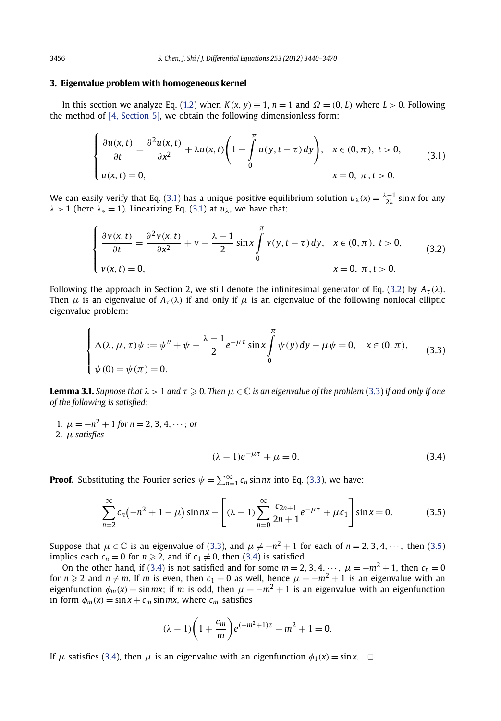#### <span id="page-17-0"></span>**3. Eigenvalue problem with homogeneous kernel**

In this section we analyze Eq. [\(1.2](#page-2-0)) when  $K(x, y) \equiv 1$ ,  $n = 1$  and  $\Omega = (0, L)$  where  $L > 0$ . Following the method of [\[4, Section 5\],](#page-30-0) we obtain the following dimensionless form:

$$
\begin{cases} \frac{\partial u(x,t)}{\partial t} = \frac{\partial^2 u(x,t)}{\partial x^2} + \lambda u(x,t) \left( 1 - \int_0^\pi u(y,t-\tau) \, dy \right), & x \in (0,\pi), \ t > 0, \\ u(x,t) = 0, & x = 0, \ \pi, t > 0. \end{cases} \tag{3.1}
$$

We can easily verify that Eq. (3.1) has a unique positive equilibrium solution  $u_\lambda(x) = \frac{\lambda - 1}{2\lambda} \sin x$  for any  $λ$  > 1 (here  $λ$ <sub>\*</sub> = 1). Linearizing Eq. (3.1) at  $u<sub>λ</sub>$ , we have that:

$$
\begin{cases} \frac{\partial v(x,t)}{\partial t} = \frac{\partial^2 v(x,t)}{\partial x^2} + v - \frac{\lambda - 1}{2} \sin x \int_0^{\pi} v(y,t-\tau) dy, & x \in (0,\pi), \ t > 0, \\ v(x,t) = 0, & x = 0, \ \pi, t > 0. \end{cases}
$$
(3.2)

Following the approach in Section 2, we still denote the infinitesimal generator of Eq. (3.2) by  $A_{\tau}(\lambda)$ . Then  $\mu$  is an eigenvalue of  $A_{\tau}(\lambda)$  if and only if  $\mu$  is an eigenvalue of the following nonlocal elliptic eigenvalue problem:

$$
\begin{cases} \Delta(\lambda, \mu, \tau)\psi := \psi'' + \psi - \frac{\lambda - 1}{2} e^{-\mu \tau} \sin x \int_{0}^{\pi} \psi(y) \, dy - \mu \psi = 0, \quad x \in (0, \pi), \\ \psi(0) = \psi(\pi) = 0. \end{cases}
$$
(3.3)

**Lemma 3.1.** Suppose that  $\lambda > 1$  and  $\tau \geq 0$ . Then  $\mu \in \mathbb{C}$  is an eigenvalue of the problem (3.3) if and only if one *of the following is satisfied*:

1.  $\mu = -n^2 + 1$  for  $n = 2, 3, 4, \dots$ ; or 2. *μ satisfies*

$$
(\lambda - 1)e^{-\mu \tau} + \mu = 0. \tag{3.4}
$$

**Proof.** Substituting the Fourier series  $\psi = \sum_{n=1}^{\infty} c_n \sin nx$  into Eq. (3.3), we have:

$$
\sum_{n=2}^{\infty} c_n (-n^2 + 1 - \mu) \sin nx - \left[ (\lambda - 1) \sum_{n=0}^{\infty} \frac{c_{2n+1}}{2n+1} e^{-\mu \tau} + \mu c_1 \right] \sin x = 0.
$$
 (3.5)

Suppose that  $\mu \in \mathbb{C}$  is an eigenvalue of (3.3), and  $\mu \neq -n^2+1$  for each of  $n=$  2, 3, 4,  $\cdots$  , then (3.5) implies each  $c_n = 0$  for  $n \geq 2$ , and if  $c_1 \neq 0$ , then (3.4) is satisfied.

On the other hand, if (3.4) is not satisfied and for some  $m = 2, 3, 4, \dots$ ,  $\mu = -m^2 + 1$ , then  $c_n = 0$ for  $n \geqslant 2$  and  $n \neq m$ . If  $m$  is even, then  $c_1 = 0$  as well, hence  $\mu = -m^2 + 1$  is an eigenvalue with an eigenfunction  $\phi_m(x) = \sin mx$ ; if *m* is odd, then  $\mu = -m^2 + 1$  is an eigenvalue with an eigenfunction in form  $\phi_m(x) = \sin x + c_m \sin mx$ , where  $c_m$  satisfies

$$
(\lambda - 1)\left(1 + \frac{c_m}{m}\right)e^{(-m^2 + 1)\tau} - m^2 + 1 = 0.
$$

If  $\mu$  satisfies (3.4), then  $\mu$  is an eigenvalue with an eigenfunction  $\phi_1(x) = \sin x$ .  $\Box$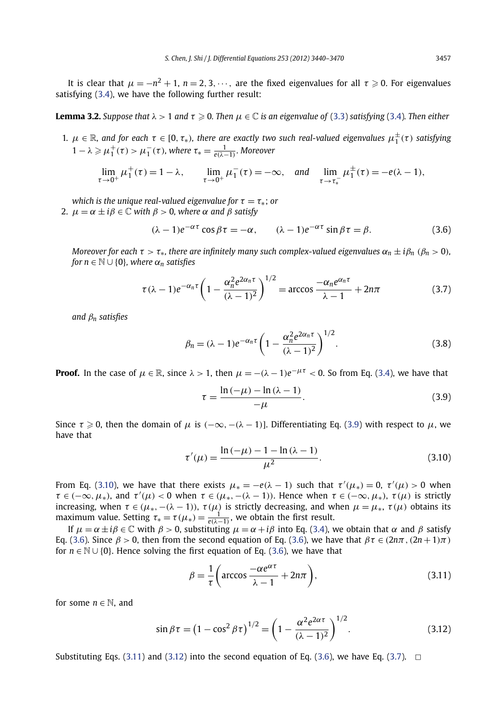<span id="page-18-0"></span>It is clear that  $\mu = -n^2 + 1$ ,  $n = 2, 3, \cdots$ , are the fixed eigenvalues for all  $\tau \geqslant 0$ . For eigenvalues satisfying [\(3.4\)](#page-17-0), we have the following further result:

**Lemma 3.2.** Suppose that  $\lambda > 1$  and  $\tau \geqslant 0$ . Then  $\mu \in \mathbb{C}$  is an eigenvalue of [\(3.3\)](#page-17-0) satisfying [\(3.4\)](#page-17-0). Then either

1.  $\mu \in \mathbb{R}$ , and for each  $\tau \in [0, \tau_*)$ , there are exactly two such real-valued eigenvalues  $\mu_1^{\pm}(\tau)$  satisfying  $1 - \lambda \geqslant \mu_1^+(\tau) > \mu_1^-(\tau)$ , where  $\tau_* = \frac{1}{e(\lambda - 1)}$ . Moreover

$$
\lim_{\tau \to 0^+} \mu_1^+(\tau) = 1 - \lambda, \qquad \lim_{\tau \to 0^+} \mu_1^-(\tau) = -\infty, \quad \text{and} \quad \lim_{\tau \to \tau_*^-} \mu_1^{\pm}(\tau) = -e(\lambda - 1),
$$

*which is the unique real-valued eigenvalue for*  $\tau = \tau_*$ ; *or* 

2.  $\mu = \alpha \pm i\beta \in \mathbb{C}$  *with*  $\beta > 0$ *, where*  $\alpha$  *and*  $\beta$  *satisfy* 

$$
(\lambda - 1)e^{-\alpha \tau} \cos \beta \tau = -\alpha, \qquad (\lambda - 1)e^{-\alpha \tau} \sin \beta \tau = \beta.
$$
 (3.6)

*Moreover for each*  $\tau > \tau_*$ *, there are infinitely many such complex-valued eigenvalues*  $\alpha_n \pm i \beta_n$  ( $\beta_n > 0$ )*, for*  $n \in \mathbb{N} \cup \{0\}$ *, where*  $\alpha_n$  *satisfies* 

$$
\tau(\lambda - 1)e^{-\alpha_n \tau} \left(1 - \frac{\alpha_n^2 e^{2\alpha_n \tau}}{(\lambda - 1)^2}\right)^{1/2} = \arccos \frac{-\alpha_n e^{\alpha_n \tau}}{\lambda - 1} + 2n\pi
$$
 (3.7)

*and β<sup>n</sup> satisfies*

$$
\beta_n = (\lambda - 1)e^{-\alpha_n \tau} \left(1 - \frac{\alpha_n^2 e^{2\alpha_n \tau}}{(\lambda - 1)^2}\right)^{1/2}.
$$
\n(3.8)

**Proof.** In the case of  $\mu \in \mathbb{R}$ , since  $\lambda > 1$ , then  $\mu = -(\lambda - 1)e^{-\mu\tau} < 0$ . So from Eq. [\(3.4\)](#page-17-0), we have that

$$
\tau = \frac{\ln\left(-\mu\right) - \ln\left(\lambda - 1\right)}{-\mu}.\tag{3.9}
$$

Since  $\tau \geqslant 0$ , then the domain of  $\mu$  is  $(-\infty, -(\lambda-1)]$ . Differentiating Eq. (3.9) with respect to  $\mu$ , we have that

$$
\tau'(\mu) = \frac{\ln(-\mu) - 1 - \ln(\lambda - 1)}{\mu^2}.
$$
\n(3.10)

From Eq. (3.10), we have that there exists  $\mu_* = -e(\lambda - 1)$  such that  $\tau'(\mu_*) = 0$ ,  $\tau'(\mu) > 0$  when  $\tau \in (-\infty, \mu_*),$  and  $\tau'(\mu) < 0$  when  $\tau \in (\mu_*, -(\lambda - 1)).$  Hence when  $\tau \in (-\infty, \mu_*), \tau(\mu)$  is strictly increasing, when  $\tau \in (\mu_*, -(\lambda - 1))$ ,  $\tau(\mu)$  is strictly decreasing, and when  $\mu = \mu_*, \tau(\mu)$  obtains its maximum value. Setting  $\tau_* = \tau(\mu_*) = \frac{1}{e(\lambda-1)}$ , we obtain the first result.

If  $\mu = \alpha \pm i\beta \in \mathbb{C}$  with  $\beta > 0$ , substituting  $\mu = \alpha + i\beta$  into Eq. [\(3.4\)](#page-17-0), we obtain that  $\alpha$  and  $\beta$  satisfy Eq. (3.6). Since  $\beta > 0$ , then from the second equation of Eq. (3.6), we have that  $\beta \tau \in (2n\pi, (2n+1)\pi)$ for  $n \in \mathbb{N} \cup \{0\}$ . Hence solving the first equation of Eq. (3.6), we have that

$$
\beta = \frac{1}{\tau} \left( \arccos \frac{-\alpha e^{\alpha \tau}}{\lambda - 1} + 2n\pi \right),\tag{3.11}
$$

for some  $n \in \mathbb{N}$ , and

$$
\sin \beta \tau = (1 - \cos^2 \beta \tau)^{1/2} = \left(1 - \frac{\alpha^2 e^{2\alpha \tau}}{(\lambda - 1)^2}\right)^{1/2}.
$$
 (3.12)

Substituting Eqs. (3.11) and (3.12) into the second equation of Eq. (3.6), we have Eq. (3.7).  $\Box$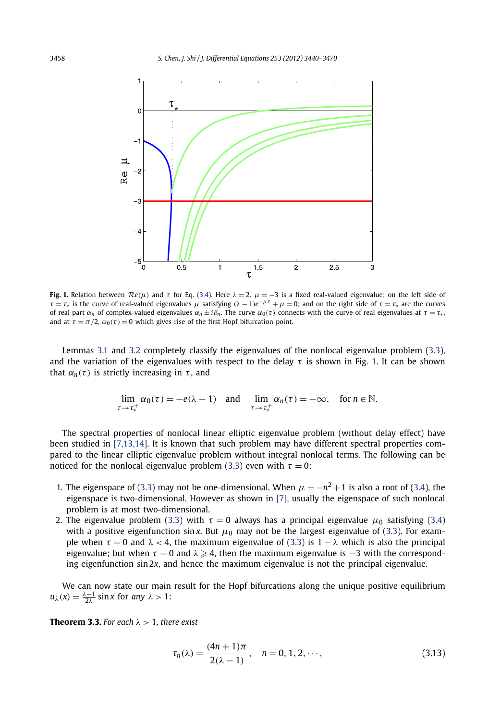<span id="page-19-0"></span>

**Fig. 1.** Relation between  $Re(\mu)$  and  $\tau$  for Eq. [\(3.4\)](#page-17-0). Here  $\lambda = 2$ .  $\mu = -3$  is a fixed real-valued eigenvalue; on the left side of *τ* = *τ*<sup>\*</sup> is the curve of real-valued eigenvalues *μ* satisfying  $(λ – 1)e<sup>−μτ</sup> + μ = 0$ ; and on the right side of *τ* = *τ*<sup>\*</sup> are the curves of real part  $\alpha_n$  of complex-valued eigenvalues  $\alpha_n \pm i\beta_n$ . The curve  $\alpha_0(\tau)$  connects with the curve of real eigenvalues at  $\tau = \tau_*$ , and at  $\tau = \pi/2$ ,  $\alpha_0(\tau) = 0$  which gives rise of the first Hopf bifurcation point.

Lemmas [3.1](#page-17-0) and [3.2](#page-18-0) completely classify the eigenvalues of the nonlocal eigenvalue problem [\(3.3\)](#page-17-0), and the variation of the eigenvalues with respect to the delay *τ* is shown in Fig. 1. It can be shown that  $\alpha_n(\tau)$  is strictly increasing in  $\tau$ , and

$$
\lim_{\tau \to \tau_*^+} \alpha_0(\tau) = -e(\lambda - 1) \quad \text{and} \quad \lim_{\tau \to \tau_*^+} \alpha_n(\tau) = -\infty, \quad \text{for } n \in \mathbb{N}.
$$

The spectral properties of nonlocal linear elliptic eigenvalue problem (without delay effect) have been studied in [\[7,13,14\].](#page-30-0) It is known that such problem may have different spectral properties compared to the linear elliptic eigenvalue problem without integral nonlocal terms. The following can be noticed for the nonlocal eigenvalue problem [\(3.3\)](#page-17-0) even with  $\tau = 0$ :

- 1. The eigenspace of [\(3.3\)](#page-17-0) may not be one-dimensional. When  $\mu = -n^2 + 1$  is also a root of [\(3.4\)](#page-17-0), the eigenspace is two-dimensional. However as shown in [\[7\],](#page-30-0) usually the eigenspace of such nonlocal problem is at most two-dimensional.
- 2. The eigenvalue problem [\(3.3\)](#page-17-0) with  $\tau = 0$  always has a principal eigenvalue  $\mu_0$  satisfying [\(3.4\)](#page-17-0) with a positive eigenfunction sin *x*. But  $\mu_0$  may not be the largest eigenvalue of [\(3.3\)](#page-17-0). For example when  $\tau = 0$  and  $\lambda < 4$ , the maximum eigenvalue of [\(3.3\)](#page-17-0) is  $1 - \lambda$  which is also the principal eigenvalue; but when  $\tau = 0$  and  $\lambda \geqslant 4$ , then the maximum eigenvalue is  $-3$  with the corresponding eigenfunction sin 2*x*, and hence the maximum eigenvalue is not the principal eigenvalue.

We can now state our main result for the Hopf bifurcations along the unique positive equilibrium  $u_{\lambda}(x) = \frac{\lambda - 1}{2\lambda} \sin x$  for *any*  $\lambda > 1$ :

**Theorem 3.3.** For each  $\lambda > 1$ , there exist

$$
\tau_n(\lambda) = \frac{(4n+1)\pi}{2(\lambda-1)}, \quad n = 0, 1, 2, \cdots,
$$
\n(3.13)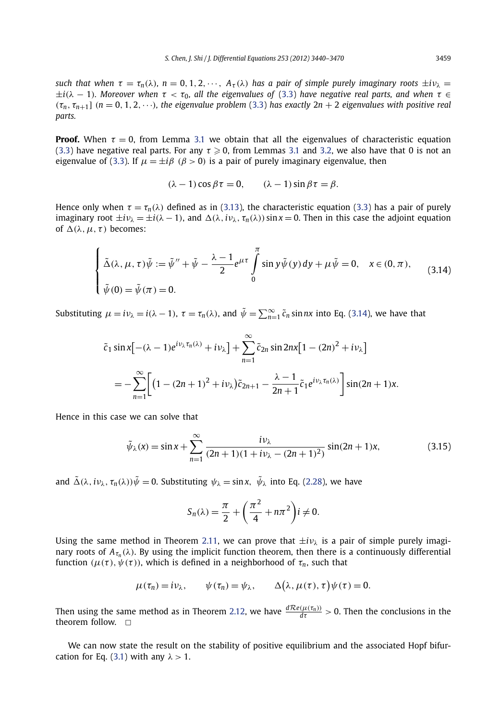*such that when*  $\tau = \tau_n(\lambda)$ ,  $n = 0, 1, 2, \dots$ ,  $A_{\tau}(\lambda)$  *has a pair of simple purely imaginary roots*  $\pm i\nu_{\lambda}$  $\pm i(\lambda - 1)$ *. Moreover when*  $\tau < \tau_0$ *, all the eigenvalues of* [\(3.3\)](#page-17-0) *have negative real parts, and when*  $\tau \in$  $(\tau_n, \tau_{n+1}]$   $(n = 0, 1, 2, \dots)$ *, the eigenvalue problem* [\(3.3\)](#page-17-0) *has exactly*  $2n + 2$  *eigenvalues with positive real parts.*

**Proof.** When  $\tau = 0$ , from Lemma [3.1](#page-17-0) we obtain that all the eigenvalues of characteristic equation [\(3.3\)](#page-17-0) have negative real parts. For any  $\tau \geqslant 0$ , from Lemmas [3.1](#page-17-0) and [3.2,](#page-18-0) we also have that 0 is not an eigenvalue of [\(3.3\)](#page-17-0). If  $\mu = \pm i\beta$  ( $\beta > 0$ ) is a pair of purely imaginary eigenvalue, then

$$
(\lambda - 1)\cos \beta \tau = 0, \qquad (\lambda - 1)\sin \beta \tau = \beta.
$$

Hence only when  $\tau = \tau_n(\lambda)$  defined as in [\(3.13\)](#page-19-0), the characteristic equation [\(3.3\)](#page-17-0) has a pair of purely imaginary root  $\pm i v_{\lambda} = \pm i (\lambda - 1)$ , and  $\Delta(\lambda, i v_{\lambda}, \tau_n(\lambda)) \sin x = 0$ . Then in this case the adjoint equation of  $\Delta(\lambda, \mu, \tau)$  becomes:

$$
\begin{cases} \tilde{\Delta}(\lambda,\mu,\tau)\tilde{\psi} := \tilde{\psi}'' + \tilde{\psi} - \frac{\lambda - 1}{2}e^{\mu\tau} \int_{0}^{\pi} \sin y \tilde{\psi}(y) dy + \mu \tilde{\psi} = 0, & x \in (0,\pi), \\ \tilde{\psi}(0) = \tilde{\psi}(\pi) = 0. \end{cases}
$$
(3.14)

Substituting  $\mu = i\nu_{\lambda} = i(\lambda - 1)$ ,  $\tau = \tau_n(\lambda)$ , and  $\tilde{\psi} = \sum_{n=1}^{\infty} \tilde{c}_n \sin nx$  into Eq. (3.14), we have that

$$
\tilde{c}_1 \sin x \left[ -(\lambda - 1)e^{i\nu_\lambda \tau_n(\lambda)} + i\nu_\lambda \right] + \sum_{n=1}^{\infty} \tilde{c}_{2n} \sin 2nx \left[ 1 - (2n)^2 + i\nu_\lambda \right]
$$
  
= 
$$
-\sum_{n=1}^{\infty} \left[ \left( 1 - (2n+1)^2 + i\nu_\lambda \right) \tilde{c}_{2n+1} - \frac{\lambda - 1}{2n+1} \tilde{c}_1 e^{i\nu_\lambda \tau_n(\lambda)} \right] \sin (2n+1)x.
$$

Hence in this case we can solve that

$$
\tilde{\psi}_{\lambda}(x) = \sin x + \sum_{n=1}^{\infty} \frac{i\nu_{\lambda}}{(2n+1)(1+i\nu_{\lambda}-(2n+1)^{2})} \sin((2n+1)x),
$$
\n(3.15)

and  $\tilde{\Delta}(\lambda, i\nu_\lambda, \tau_n(\lambda))\tilde{\psi} = 0$ . Substituting  $\psi_\lambda = \sin x$ ,  $\tilde{\psi}_\lambda$  into Eq. [\(2.28\)](#page-13-0), we have

$$
S_n(\lambda) = \frac{\pi}{2} + \left(\frac{\pi^2}{4} + n\pi^2\right)i \neq 0.
$$

Using the same method in Theorem [2.11,](#page-14-0) we can prove that  $\pm i\nu_{\lambda}$  is a pair of simple purely imaginary roots of  $A_{\tau_n}(\lambda)$ . By using the implicit function theorem, then there is a continuously differential function  $(\mu(\tau), \psi(\tau))$ , which is defined in a neighborhood of  $\tau_n$ , such that

$$
\mu(\tau_n) = i\nu_\lambda, \qquad \psi(\tau_n) = \psi_\lambda, \qquad \Delta\big(\lambda, \mu(\tau), \tau\big)\psi(\tau) = 0.
$$

Then using the same method as in Theorem [2.12,](#page-15-0) we have  $\frac{dRe(\mu(\tau_n))}{d\tau} > 0$ . Then the conclusions in the theorem follow.  $\Box$ 

We can now state the result on the stability of positive equilibrium and the associated Hopf bifurcation for Eq. [\(3.1\)](#page-17-0) with any *λ >* 1.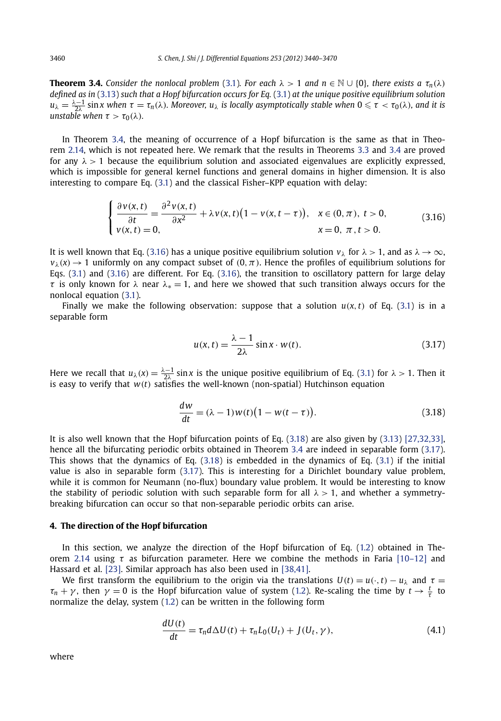<span id="page-21-0"></span>**Theorem 3.4.** *Consider the nonlocal problem* [\(3.1\)](#page-17-0)*. For each*  $\lambda > 1$  *and*  $n \in \mathbb{N} \cup \{0\}$ *, there exists a*  $\tau_n(\lambda)$ *defined as in* [\(3.13\)](#page-19-0) *such that a Hopf bifurcation occurs for Eq.* [\(3.1\)](#page-17-0) *at the unique positive equilibrium solution*  $u_\lambda=\frac{\lambda-1}{2\lambda}$  sin x when  $\tau=\tau_n(\lambda)$ . Moreover,  $u_\lambda$  is locally asymptotically stable when  $0\leqslant\tau<\tau_0(\lambda)$ , and it is *unstable when*  $\tau > \tau_0(\lambda)$ *.* 

In Theorem 3.4, the meaning of occurrence of a Hopf bifurcation is the same as that in Theorem [2.14,](#page-16-0) which is not repeated here. We remark that the results in Theorems [3.3](#page-19-0) and 3.4 are proved for any  $\lambda > 1$  because the equilibrium solution and associated eigenvalues are explicitly expressed. which is impossible for general kernel functions and general domains in higher dimension. It is also interesting to compare Eq. [\(3.1\)](#page-17-0) and the classical Fisher–KPP equation with delay:

$$
\begin{cases} \frac{\partial v(x,t)}{\partial t} = \frac{\partial^2 v(x,t)}{\partial x^2} + \lambda v(x,t) \big( 1 - v(x,t-\tau) \big), & x \in (0,\pi), \ t > 0, \\ v(x,t) = 0, & x = 0, \ \pi, \ t > 0. \end{cases}
$$
(3.16)

It is well known that Eq. (3.16) has a unique positive equilibrium solution  $v_\lambda$  for  $\lambda > 1$ , and as  $\lambda \to \infty$ ,  $v_{\lambda}(x) \rightarrow 1$  uniformly on any compact subset of  $(0, \pi)$ . Hence the profiles of equilibrium solutions for Eqs. [\(3.1\)](#page-17-0) and (3.16) are different. For Eq. (3.16), the transition to oscillatory pattern for large delay *τ* is only known for  $\lambda$  near  $\lambda_* = 1$ , and here we showed that such transition always occurs for the nonlocal equation [\(3.1\)](#page-17-0).

Finally we make the following observation: suppose that a solution  $u(x, t)$  of Eq. [\(3.1\)](#page-17-0) is in a separable form

$$
u(x,t) = \frac{\lambda - 1}{2\lambda} \sin x \cdot w(t).
$$
 (3.17)

Here we recall that  $u_\lambda(x) = \frac{\lambda - 1}{2\lambda} \sin x$  is the unique positive equilibrium of Eq. [\(3.1\)](#page-17-0) for  $\lambda > 1$ . Then it is easy to verify that *w(t)* satisfies the well-known (non-spatial) Hutchinson equation

$$
\frac{dw}{dt} = (\lambda - 1)w(t)\big(1 - w(t - \tau)\big). \tag{3.18}
$$

It is also well known that the Hopf bifurcation points of Eq. (3.18) are also given by [\(3.13\)](#page-19-0) [\[27,32,33\],](#page-31-0) hence all the bifurcating periodic orbits obtained in Theorem 3.4 are indeed in separable form (3.17). This shows that the dynamics of Eq. (3.18) is embedded in the dynamics of Eq. [\(3.1\)](#page-17-0) if the initial value is also in separable form (3.17). This is interesting for a Dirichlet boundary value problem, while it is common for Neumann (no-flux) boundary value problem. It would be interesting to know the stability of periodic solution with such separable form for all *λ >* 1, and whether a symmetrybreaking bifurcation can occur so that non-separable periodic orbits can arise.

#### **4. The direction of the Hopf bifurcation**

In this section, we analyze the direction of the Hopf bifurcation of Eq. [\(1.2](#page-2-0)) obtained in Theorem [2.14](#page-16-0) using *τ* as bifurcation parameter. Here we combine the methods in Faria [\[10–12\]](#page-30-0) and Hassard et al. [\[23\].](#page-30-0) Similar approach has also been used in [\[38,41\].](#page-31-0)

We first transform the equilibrium to the origin via the translations  $U(t) = u(\cdot, t) - u_\lambda$  and  $\tau =$ *τ*<sub>*n*</sub> + *γ*, then *γ* = 0 is the Hopf bifurcation value of system [\(1.2\)](#page-2-0). Re-scaling the time by  $t \to \frac{t}{\tau}$  to normalize the delay, system [\(1.2](#page-2-0)) can be written in the following form

$$
\frac{dU(t)}{dt} = \tau_n d\Delta U(t) + \tau_n L_0(U_t) + J(U_t, \gamma), \qquad (4.1)
$$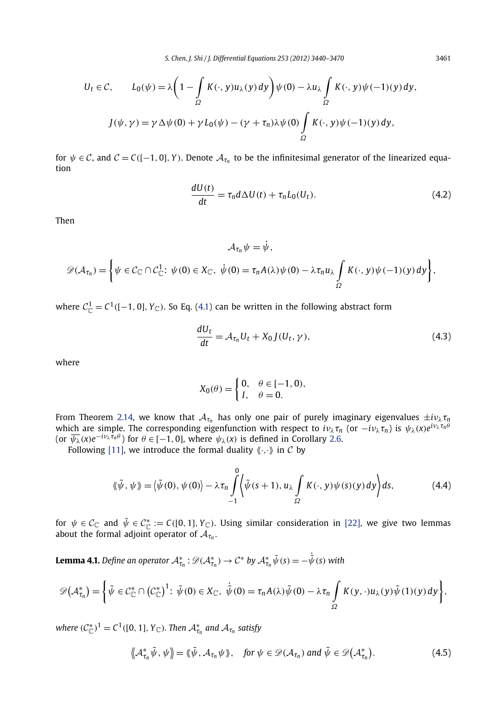<span id="page-22-0"></span>
$$
U_t \in \mathcal{C}, \qquad L_0(\psi) = \lambda \left( 1 - \int_{\Omega} K(\cdot, y) u_{\lambda}(y) \, dy \right) \psi(0) - \lambda u_{\lambda} \int_{\Omega} K(\cdot, y) \psi(-1)(y) \, dy,
$$

$$
J(\psi, \gamma) = \gamma \Delta \psi(0) + \gamma L_0(\psi) - (\gamma + \tau_n) \lambda \psi(0) \int_{\Omega} K(\cdot, y) \psi(-1)(y) \, dy,
$$

for  $\psi \in C$ , and  $C = C([-1, 0], Y)$ . Denote  $A_{\tau_n}$  to be the infinitesimal generator of the linearized equation

$$
\frac{dU(t)}{dt} = \tau_n d\Delta U(t) + \tau_n L_0(U_t). \tag{4.2}
$$

Then

$$
\mathcal{A}_{\tau_n}\psi = \dot{\psi},
$$
  

$$
\mathcal{D}(\mathcal{A}_{\tau_n}) = \left\{\psi \in \mathcal{C}_{\mathbb{C}} \cap \mathcal{C}_{\mathbb{C}}^1 : \psi(0) \in X_{\mathbb{C}}, \ \dot{\psi}(0) = \tau_n A(\lambda)\psi(0) - \lambda \tau_n u_\lambda \int_{\Omega} K(\cdot, y)\psi(-1)(y) \, dy \right\},
$$

where  $C^1_{\mathbb{C}} = C^1([-1, 0], Y_{\mathbb{C}})$ . So Eq. [\(4.1\)](#page-21-0) can be written in the following abstract form

$$
\frac{dU_t}{dt} = \mathcal{A}_{\tau_n} U_t + X_0 J(U_t, \gamma), \qquad (4.3)
$$

where

$$
X_0(\theta) = \begin{cases} 0, & \theta \in [-1, 0), \\ I, & \theta = 0. \end{cases}
$$

From Theorem [2.14,](#page-16-0) we know that  $A_{\tau_n}$  has only one pair of purely imaginary eigenvalues  $\pm i\nu_\lambda \tau_n$ which are simple. The corresponding eigenfunction with respect to  $i\nu_\lambda \tau_n$  (or  $-i\nu_\lambda \tau_n$ ) is  $\psi_\lambda(x)e^{i\nu_\lambda \tau_n \hat{\theta}}$ (or  $\overline{\psi_{\lambda}}(x)e^{-i\psi_{\lambda}\tau_{n}\theta}$ ) for  $\theta \in [-1,0]$ , where  $\psi_{\lambda}(x)$  is defined in Corollary [2.6.](#page-9-0)

Following [\[11\],](#page-30-0) we introduce the formal duality  $\langle \langle \cdot, \cdot \rangle \rangle$  in C by

$$
\langle\!\langle \tilde{\psi}, \psi \rangle\!\rangle = \langle\tilde{\psi}(0), \psi(0) \rangle - \lambda \tau_n \int\limits_{-1}^{0} \langle \tilde{\psi}(s+1), u_{\lambda} \int\limits_{\Omega} K(\cdot, y) \psi(s)(y) dy \rangle ds, \tag{4.4}
$$

for  $\psi \in C_{\mathbb{C}}$  and  $\tilde{\psi} \in C_{\mathbb{C}}^* := C([0,1], Y_{\mathbb{C}})$ . Using similar consideration in [\[22\],](#page-30-0) we give two lemmas about the formal adjoint operator of  $A_{\tau_n}$ .

**Lemma 4.1.** Define an operator  $\mathcal{A}_{\tau_n}^*: \mathscr{D}(\mathcal{A}_{\tau_n}^*) \to \mathcal{C}^*$  by  $\mathcal{A}_{\tau_n}^* \tilde{\psi}(s) = -\dot{\tilde{\psi}}(s)$  with

$$
\mathscr{D}(\mathcal{A}^*_{\tau_n}) = \left\{ \tilde{\psi} \in C^*_{\mathbb{C}} \cap \left( C^*_{\mathbb{C}} \right)^1 : \tilde{\psi}(0) \in X_{\mathbb{C}}, \ \dot{\tilde{\psi}}(0) = \tau_n A(\lambda) \tilde{\psi}(0) - \lambda \tau_n \int_{\Omega} K(y, \cdot) u_{\lambda}(y) \tilde{\psi}(1)(y) dy \right\},\
$$

*where*  $(C^*_{\mathbb{C}})^1 = C^1([0, 1], Y_{\mathbb{C}})$ *. Then*  $\mathcal{A}^*_{\tau_n}$  *and*  $\mathcal{A}_{\tau_n}$  *satisfy* 

$$
\left\langle \mathcal{A}_{\tau_n}^* \tilde{\psi}, \psi \right\rangle = \left\langle \tilde{\psi}, \mathcal{A}_{\tau_n} \psi \right\rangle, \quad \text{for } \psi \in \mathscr{D}(\mathcal{A}_{\tau_n}) \text{ and } \tilde{\psi} \in \mathscr{D}(\mathcal{A}_{\tau_n}^*).
$$
 (4.5)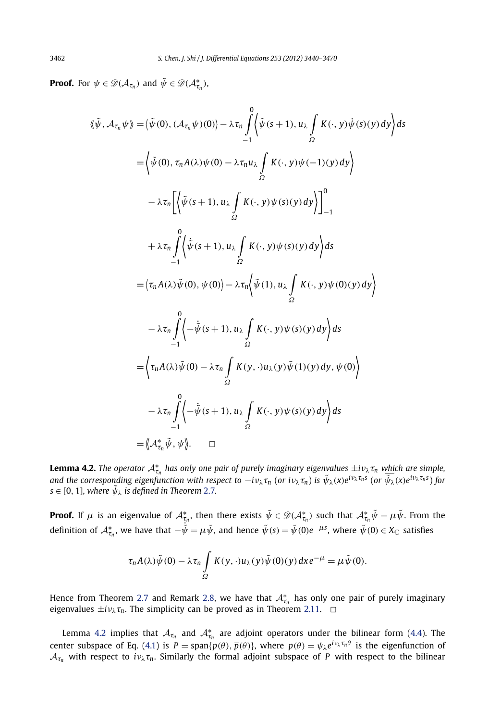$\overline{0}$ 

**Proof.** For  $\psi \in \mathscr{D}(\mathcal{A}_{\tau_n})$  and  $\tilde{\psi} \in \mathscr{D}(\mathcal{A}_{\tau_n}^*)$ ,

$$
\langle \tilde{\psi}, \mathcal{A}_{\tau_n} \psi \rangle = \langle \tilde{\psi}(0), (\mathcal{A}_{\tau_n} \psi)(0) \rangle - \lambda \tau_n \int_{-1}^{n} \langle \tilde{\psi}(s+1), u_{\lambda} \int_{\Omega} K(\cdot, y) \dot{\psi}(s)(y) dy \rangle ds
$$
  
\n
$$
= \langle \tilde{\psi}(0), \tau_n A(\lambda) \psi(0) - \lambda \tau_n u_{\lambda} \int_{\Omega} K(\cdot, y) \psi(-1)(y) dy \rangle
$$
  
\n
$$
- \lambda \tau_n \left[ \langle \tilde{\psi}(s+1), u_{\lambda} \int_{\Omega} K(\cdot, y) \psi(s)(y) dy \rangle \right]_{-1}^{0}
$$
  
\n
$$
+ \lambda \tau_n \int_{-1}^{0} \langle \dot{\tilde{\psi}}(s+1), u_{\lambda} \int_{\Omega} K(\cdot, y) \psi(s)(y) dy \rangle ds
$$
  
\n
$$
= \langle \tau_n A(\lambda) \tilde{\psi}(0), \psi(0) \rangle - \lambda \tau_n \langle \tilde{\psi}(1), u_{\lambda} \int_{\Omega} K(\cdot, y) \psi(0)(y) dy \rangle
$$
  
\n
$$
- \lambda \tau_n \int_{-1}^{0} \langle -\dot{\tilde{\psi}}(s+1), u_{\lambda} \int_{\Omega} K(\cdot, y) \psi(s)(y) dy \rangle ds
$$
  
\n
$$
= \langle \tau_n A(\lambda) \tilde{\psi}(0) - \lambda \tau_n \int_{\Omega} K(y, \cdot) u_{\lambda}(y) \tilde{\psi}(1)(y) dy, \psi(0) \rangle
$$
  
\n
$$
- \lambda \tau_n \int_{-1}^{0} \langle -\dot{\tilde{\psi}}(s+1), u_{\lambda} \int_{\Omega} K(\cdot, y) \psi(s)(y) dy \rangle ds
$$
  
\n
$$
= \langle \mathcal{A}_{\tau_n}^* \tilde{\psi}, \psi \rangle. \quad \Box
$$

**Lemma 4.2.** The operator  $A_{\tau_n}^*$  has only one pair of purely imaginary eigenvalues  $\pm i\nu_\lambda \tau_n$  which are simple, and the corresponding eigenfunction with respect to  $-i\nu_\lambda\tau_n$  (or  $i\nu_\lambda\tau_n$ ) is  $\tilde\psi_\lambda(x)e^{i\nu_\lambda\tau_n s}$  (or  $\tilde\psi_\lambda(x)e^{i\nu_\lambda\tau_n s}$ ) for  $s \in [0, 1]$ *, where*  $\tilde{\psi}_{\lambda}$  *is defined in Theorem [2.7](#page-11-0).* 

**Proof.** If  $\mu$  is an eigenvalue of  $\mathcal{A}_{\tau_n}^*$ , then there exists  $\tilde{\psi}\in\mathscr{D}(\mathcal{A}_{\tau_n}^*)$  such that  $\mathcal{A}_{\tau_n}^*\tilde{\psi}=\mu\tilde{\psi}.$  From the definition of  $\mathcal{A}_{\tau_n}^*$ , we have that  $-\dot{\tilde{\psi}} = \mu \tilde{\psi}$ , and hence  $\tilde{\psi}(s) = \tilde{\psi}(0) e^{-\mu s}$ , where  $\tilde{\psi}(0) \in X_{\mathbb{C}}$  satisfies

$$
\tau_n A(\lambda) \tilde{\psi}(0) - \lambda \tau_n \int\limits_{\Omega} K(y, \cdot) u_{\lambda}(y) \tilde{\psi}(0)(y) dx e^{-\mu} = \mu \tilde{\psi}(0).
$$

Hence from Theorem [2.7](#page-11-0) and Remark [2.8,](#page-11-0) we have that  $A_{\tau_n}^*$  has only one pair of purely imaginary eigenvalues  $\pm i\nu_{\lambda}\tau_n$ . The simplicity can be proved as in Theorem [2.11.](#page-14-0)  $\Box$ 

Lemma 4.2 implies that  $A_{\tau_n}$  and  $A_{\tau_n}^*$  are adjoint operators under the bilinear form [\(4.4\)](#page-22-0). The center subspace of Eq. [\(4.1\)](#page-21-0) is  $P = \text{span}{p(\theta), \bar{p}(\theta)}$ , where  $p(\theta) = \psi_{\lambda} e^{i\nu_{\lambda} \tau_n \theta}$  is the eigenfunction of  $A_{\tau_n}$  with respect to  $i\nu_\lambda \tau_n$ . Similarly the formal adjoint subspace of *P* with respect to the bilinear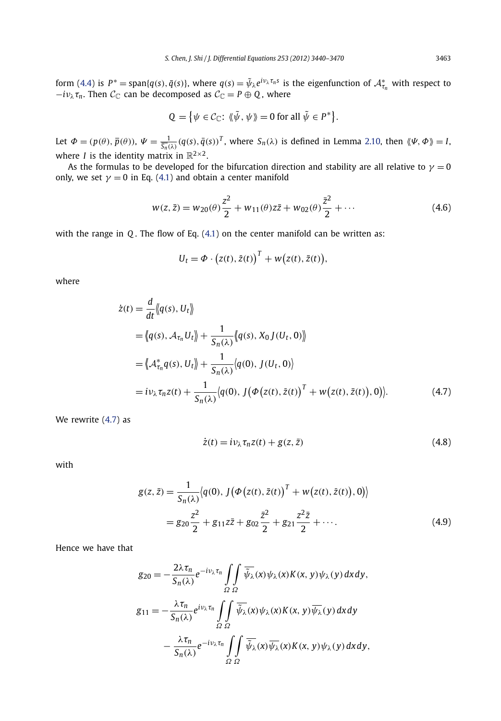form [\(4.4\)](#page-22-0) is  $P^* = \text{span}\{q(s), \bar{q}(s)\}\$ , where  $q(s) = \tilde{\psi}_\lambda e^{i\psi_\lambda \tau_n s}$  is the eigenfunction of  $\mathcal{A}^*_{\tau_n}$  with respect to  $-i\nu_{\lambda}\tau_{n}$ . Then  $C_{\mathbb{C}}$  can be decomposed as  $C_{\mathbb{C}} = P \oplus Q$ , where

$$
Q = \{ \psi \in C_{\mathbb{C}} : \langle \tilde{\psi}, \psi \rangle = 0 \text{ for all } \tilde{\psi} \in P^* \}.
$$

Let  $\Phi = (p(\theta), \overline{p}(\theta)), \Psi = \frac{1}{\overline{S_n}(\lambda)} (q(s), \overline{q}(s))^T$ , where  $S_n(\lambda)$  is defined in Lemma [2.10,](#page-13-0) then  $\langle \! \langle \Psi, \Phi \rangle \! \rangle = I$ , where *I* is the identity matrix in  $\mathbb{R}^{2\times 2}$ .

As the formulas to be developed for the bifurcation direction and stability are all relative to  $\gamma = 0$ only, we set  $\gamma = 0$  in Eq. [\(4.1\)](#page-21-0) and obtain a center manifold

$$
w(z, \bar{z}) = w_{20}(\theta) \frac{z^2}{2} + w_{11}(\theta) z\bar{z} + w_{02}(\theta) \frac{\bar{z}^2}{2} + \cdots
$$
 (4.6)

with the range in *Q* . The flow of Eq. [\(4.1\)](#page-21-0) on the center manifold can be written as:

$$
U_t = \Phi \cdot (z(t), \bar{z}(t))^T + w(z(t), \bar{z}(t)),
$$

where

$$
\dot{z}(t) = \frac{d}{dt} \langle\!\langle q(s), U_t \rangle\!\rangle
$$
\n
$$
= \langle\!\langle q(s), \mathcal{A}_{\tau_n} U_t \rangle\!\rangle + \frac{1}{S_n(\lambda)} \langle\!\langle q(s), X_0 J(U_t, 0) \rangle\!\rangle
$$
\n
$$
= \langle\!\langle \mathcal{A}_{\tau_n}^* q(s), U_t \rangle\!\rangle + \frac{1}{S_n(\lambda)} \langle q(0), J(U_t, 0) \rangle
$$
\n
$$
= i \nu_\lambda \tau_n z(t) + \frac{1}{S_n(\lambda)} \langle q(0), J(\Phi(z(t), \bar{z}(t)))^T + w(z(t), \bar{z}(t)), 0 \rangle\rangle. \tag{4.7}
$$

We rewrite (4.7) as

$$
\dot{z}(t) = i v_{\lambda} \tau_n z(t) + g(z, \bar{z}) \tag{4.8}
$$

with

$$
g(z, \bar{z}) = \frac{1}{S_n(\lambda)} \langle q(0), J(\Phi(z(t), \bar{z}(t)))^T + w(z(t), \bar{z}(t)), 0) \rangle
$$
  
=  $g_{20} \frac{z^2}{2} + g_{11} z \bar{z} + g_{02} \frac{\bar{z}^2}{2} + g_{21} \frac{z^2 \bar{z}}{2} + \cdots$  (4.9)

Hence we have that

$$
g_{20} = -\frac{2\lambda\tau_n}{S_n(\lambda)} e^{-i\nu_{\lambda}\tau_n} \int\limits_{\Omega} \int\limits_{\Omega} \overline{\tilde{\psi}_{\lambda}}(x) \psi_{\lambda}(x) K(x, y) \psi_{\lambda}(y) dx dy,
$$
  
\n
$$
g_{11} = -\frac{\lambda\tau_n}{S_n(\lambda)} e^{i\nu_{\lambda}\tau_n} \int\limits_{\Omega} \int\limits_{\Omega} \overline{\tilde{\psi}_{\lambda}}(x) \psi_{\lambda}(x) K(x, y) \overline{\psi_{\lambda}}(y) dx dy
$$
  
\n
$$
- \frac{\lambda\tau_n}{S_n(\lambda)} e^{-i\nu_{\lambda}\tau_n} \int\limits_{\Omega} \int\limits_{\Omega} \overline{\tilde{\psi}_{\lambda}}(x) \overline{\psi_{\lambda}}(x) K(x, y) \psi_{\lambda}(y) dx dy,
$$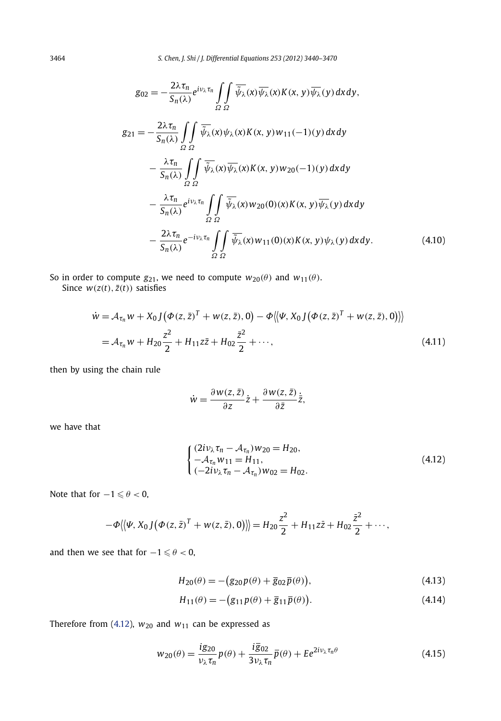<span id="page-25-0"></span>
$$
g_{02} = -\frac{2\lambda\tau_n}{S_n(\lambda)} e^{i\nu_\lambda\tau_n} \iint_{\Omega} \overline{\psi_\lambda}(x) \overline{\psi_\lambda}(x) K(x, y) \overline{\psi_\lambda}(y) dx dy,
$$
  
\n
$$
g_{21} = -\frac{2\lambda\tau_n}{S_n(\lambda)} \iint_{\Omega} \overline{\psi_\lambda}(x) \psi_\lambda(x) K(x, y) w_{11}(-1)(y) dx dy
$$
  
\n
$$
- \frac{\lambda\tau_n}{S_n(\lambda)} \iint_{\Omega} \overline{\psi_\lambda}(x) \overline{\psi_\lambda}(x) K(x, y) w_{20}(-1)(y) dx dy
$$
  
\n
$$
- \frac{\lambda\tau_n}{S_n(\lambda)} e^{i\nu_\lambda\tau_n} \iint_{\Omega} \overline{\psi_\lambda}(x) w_{20}(0)(x) K(x, y) \overline{\psi_\lambda}(y) dx dy
$$
  
\n
$$
- \frac{2\lambda\tau_n}{S_n(\lambda)} e^{-i\nu_\lambda\tau_n} \iint_{\Omega} \overline{\psi_\lambda}(x) w_{11}(0)(x) K(x, y) \psi_\lambda(y) dx dy.
$$
 (4.10)

So in order to compute  $g_{21}$ , we need to compute  $w_{20}(\theta)$  and  $w_{11}(\theta)$ .

Since  $w(z(t), \overline{z}(t))$  satisfies

$$
\dot{w} = A_{\tau_n} w + X_0 J (\Phi(z, \bar{z})^T + w(z, \bar{z}), 0) - \Phi \langle \langle \Psi, X_0 J (\Phi(z, \bar{z})^T + w(z, \bar{z}), 0) \rangle \rangle
$$
  
=  $A_{\tau_n} w + H_{20} \frac{z^2}{2} + H_{11} z \bar{z} + H_{02} \frac{\bar{z}^2}{2} + \cdots,$  (4.11)

then by using the chain rule

$$
\dot{w} = \frac{\partial w(z,\bar{z})}{\partial z}\dot{z} + \frac{\partial w(z,\bar{z})}{\partial \bar{z}}\dot{\bar{z}},
$$

we have that

$$
\begin{cases}\n(2i\nu_{\lambda}\tau_{n} - A_{\tau_{n}})w_{20} = H_{20}, \\
-A_{\tau_{n}}w_{11} = H_{11}, \\
(-2i\nu_{\lambda}\tau_{n} - A_{\tau_{n}})w_{02} = H_{02}.\n\end{cases}
$$
\n(4.12)

Note that for  $-1 \le \theta < 0$ ,

$$
-\Phi\langle\langle\Psi, X_0 J(\Phi(z,\bar{z})^T + w(z,\bar{z}),0)\rangle\rangle = H_{20}\frac{z^2}{2} + H_{11}z\bar{z} + H_{02}\frac{\bar{z}^2}{2} + \cdots,
$$

and then we see that for  $-1 \le \theta < 0$ ,

$$
H_{20}(\theta) = -\big(g_{20}p(\theta) + \overline{g}_{02}\overline{p}(\theta)\big),\tag{4.13}
$$

$$
H_{11}(\theta) = -\big(g_{11}p(\theta) + \overline{g}_{11}\overline{p}(\theta)\big). \tag{4.14}
$$

Therefore from (4.12),  $w_{20}$  and  $w_{11}$  can be expressed as

$$
w_{20}(\theta) = \frac{\mathrm{i}g_{20}}{\nu_{\lambda}\tau_{n}}p(\theta) + \frac{\mathrm{i}\,\overline{g}_{02}}{3\nu_{\lambda}\tau_{n}}\overline{p}(\theta) + E e^{2i\nu_{\lambda}\tau_{n}\theta} \tag{4.15}
$$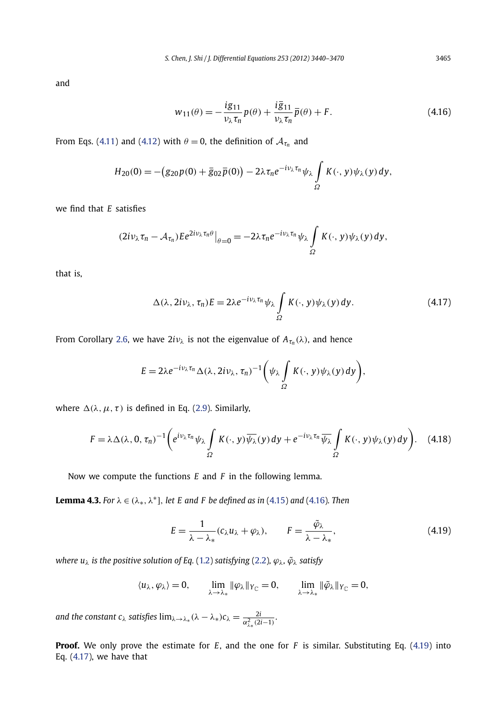<span id="page-26-0"></span>and

$$
w_{11}(\theta) = -\frac{ig_{11}}{\nu_{\lambda}\tau_n}p(\theta) + \frac{i\overline{g}_{11}}{\nu_{\lambda}\tau_n}\overline{p}(\theta) + F.
$$
 (4.16)

From Eqs. [\(4.11\)](#page-25-0) and [\(4.12\)](#page-25-0) with  $\theta = 0$ , the definition of  $A_{\tau_n}$  and

$$
H_{20}(0) = -(g_{20}p(0) + \overline{g}_{02}\overline{p}(0)) - 2\lambda \tau_n e^{-i\nu_\lambda \tau_n} \psi_\lambda \int\limits_{\Omega} K(\cdot, y) \psi_\lambda(y) dy,
$$

we find that *E* satisfies

$$
(2i\nu_{\lambda}\tau_n-\mathcal{A}_{\tau_n})Ee^{2i\nu_{\lambda}\tau_n\theta}|_{\theta=0}=-2\lambda\tau_ne^{-i\nu_{\lambda}\tau_n}\psi_{\lambda}\int\limits_{\Omega}K(\cdot,y)\psi_{\lambda}(y)\,dy,
$$

that is,

$$
\Delta(\lambda, 2i\nu_{\lambda}, \tau_n)E = 2\lambda e^{-i\nu_{\lambda}\tau_n}\psi_{\lambda} \int_{\Omega} K(\cdot, y)\psi_{\lambda}(y) dy.
$$
 (4.17)

From Corollary [2.6,](#page-9-0) we have  $2*i*v<sub>\lambda</sub>$  is not the eigenvalue of  $A_{\tau_n}(\lambda)$ , and hence

$$
E=2\lambda e^{-i\nu_{\lambda}\tau_n}\Delta(\lambda,2i\nu_{\lambda},\tau_n)^{-1}\bigg(\psi_{\lambda}\int_{\Omega}K(\cdot,y)\psi_{\lambda}(y)\,dy\bigg),
$$

where  $\Delta(\lambda, \mu, \tau)$  is defined in Eq. [\(2.9\)](#page-6-0). Similarly,

$$
F = \lambda \Delta(\lambda, 0, \tau_n)^{-1} \left( e^{i\nu_\lambda \tau_n} \psi_\lambda \int\limits_{\Omega} K(\cdot, y) \overline{\psi_\lambda}(y) \, dy + e^{-i\nu_\lambda \tau_n} \overline{\psi_\lambda} \int\limits_{\Omega} K(\cdot, y) \psi_\lambda(y) \, dy \right). \tag{4.18}
$$

Now we compute the functions *E* and *F* in the following lemma.

**Lemma 4.3.** *For*  $\lambda \in (\lambda_*, \lambda^*]$ *, let E and F be defined as in* [\(4.15\)](#page-25-0) *and* (4.16)*. Then* 

$$
E = \frac{1}{\lambda - \lambda_*} (c_{\lambda} u_{\lambda} + \varphi_{\lambda}), \qquad F = \frac{\tilde{\varphi}_{\lambda}}{\lambda - \lambda_*}, \tag{4.19}
$$

*where u<sup>λ</sup> is the positive solution of Eq.* [\(1.2\)](#page-2-0) *satisfying* [\(2.2\)](#page-4-0)*, ϕλ, ϕ*˜*<sup>λ</sup> satisfy*

$$
\langle u_\lambda, \varphi_\lambda \rangle = 0, \qquad \lim_{\lambda \to \lambda_*} \|\varphi_\lambda\|_{Y_{\mathbb C}} = 0, \qquad \lim_{\lambda \to \lambda_*} \|\widetilde{\varphi}_\lambda\|_{Y_{\mathbb C}} = 0,
$$

*and the constant c<sub>λ</sub> satisfies*  $\lim_{\lambda \to \lambda_*} (\lambda - \lambda_*) c_\lambda = \frac{2i}{\alpha_{\lambda_*}^2 (2i-1)}$ .

**Proof.** We only prove the estimate for *E*, and the one for *F* is similar. Substituting Eq. (4.19) into Eq. (4.17), we have that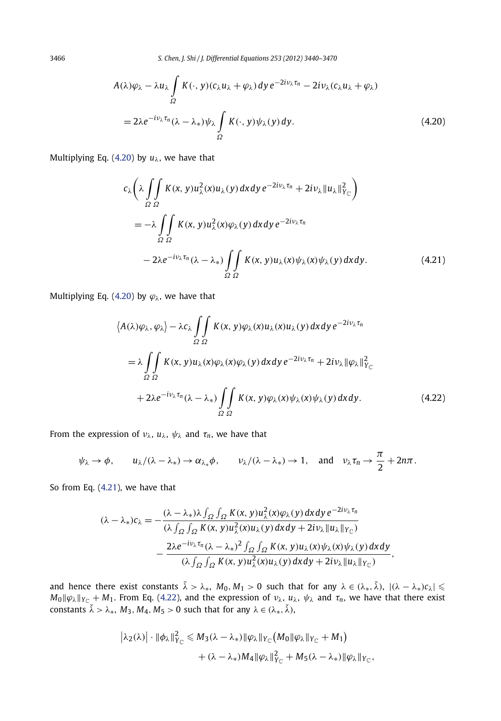<span id="page-27-0"></span>3466 *S. Chen, J. Shi / J. Differential Equations 253 (2012) 3440–3470*

$$
A(\lambda)\varphi_{\lambda} - \lambda u_{\lambda} \int_{\Omega} K(\cdot, y)(c_{\lambda}u_{\lambda} + \varphi_{\lambda}) dy e^{-2i\nu_{\lambda}\tau_{n}} - 2i\nu_{\lambda}(c_{\lambda}u_{\lambda} + \varphi_{\lambda})
$$
  
=  $2\lambda e^{-i\nu_{\lambda}\tau_{n}}(\lambda - \lambda_{*})\psi_{\lambda} \int_{\Omega} K(\cdot, y)\psi_{\lambda}(y) dy.$  (4.20)

Multiplying Eq. (4.20) by  $u_{\lambda}$ , we have that

$$
c_{\lambda}\left(\lambda \int_{\Omega} \int_{\Omega} K(x, y) u_{\lambda}^{2}(x) u_{\lambda}(y) dx dy e^{-2i\nu_{\lambda}\tau_{n}} + 2i\nu_{\lambda} ||u_{\lambda}||_{Y_{\mathbb{C}}}^{2}\right)
$$
  
\n
$$
= -\lambda \int_{\Omega} \int_{\Omega} K(x, y) u_{\lambda}^{2}(x) \varphi_{\lambda}(y) dx dy e^{-2i\nu_{\lambda}\tau_{n}}
$$
  
\n
$$
-2\lambda e^{-i\nu_{\lambda}\tau_{n}} (\lambda - \lambda_{*}) \int_{\Omega} \int_{\Omega} K(x, y) u_{\lambda}(x) \psi_{\lambda}(x) \psi_{\lambda}(y) dx dy.
$$
 (4.21)

Multiplying Eq. (4.20) by  $\varphi_{\lambda}$ , we have that

$$
\langle A(\lambda)\varphi_{\lambda},\varphi_{\lambda}\rangle - \lambda c_{\lambda} \iint_{\Omega} K(x,y)\varphi_{\lambda}(x)u_{\lambda}(y)dx dy e^{-2i\nu_{\lambda}\tau_{n}}
$$
  

$$
= \lambda \iint_{\Omega} K(x,y)u_{\lambda}(x)\varphi_{\lambda}(x)\varphi_{\lambda}(y) dxdy e^{-2i\nu_{\lambda}\tau_{n}} + 2i\nu_{\lambda} ||\varphi_{\lambda}||_{Y_{\mathbb{C}}}^{2}
$$
  

$$
+ 2\lambda e^{-i\nu_{\lambda}\tau_{n}}(\lambda - \lambda_{*}) \iint_{\Omega} K(x,y)\varphi_{\lambda}(x)\psi_{\lambda}(x)\psi_{\lambda}(y) dxdy.
$$
 (4.22)

From the expression of  $v_{\lambda}$ ,  $u_{\lambda}$ ,  $\psi_{\lambda}$  and  $\tau_n$ , we have that

$$
\psi_{\lambda} \to \phi
$$
,  $u_{\lambda}/(\lambda - \lambda_*) \to \alpha_{\lambda_*}\phi$ ,  $v_{\lambda}/(\lambda - \lambda_*) \to 1$ , and  $v_{\lambda}\tau_n \to \frac{\pi}{2} + 2n\pi$ .

So from Eq. (4.21), we have that

$$
(\lambda - \lambda_*)c_{\lambda} = -\frac{(\lambda - \lambda_*)\lambda \int_{\Omega} \int_{\Omega} K(x, y)u_{\lambda}^2(x)\varphi_{\lambda}(y) dxdy e^{-2iv_{\lambda}\tau_n}}{(\lambda \int_{\Omega} \int_{\Omega} K(x, y)u_{\lambda}^2(x)u_{\lambda}(y) dxdy + 2iv_{\lambda}||u_{\lambda}||_{Y_{\mathbb{C}}})}
$$

$$
-\frac{2\lambda e^{-iv_{\lambda}\tau_n}(\lambda - \lambda_*)^2 \int_{\Omega} \int_{\Omega} K(x, y)u_{\lambda}(x)\psi_{\lambda}(x)\psi_{\lambda}(y) dxdy}{(\lambda \int_{\Omega} \int_{\Omega} K(x, y)u_{\lambda}^2(x)u_{\lambda}(y) dxdy + 2iv_{\lambda}||u_{\lambda}||_{Y_{\mathbb{C}}})},
$$

and hence there exist constants  $\tilde{\lambda} > \lambda_*, M_0, M_1 > 0$  such that for any  $\lambda \in (\lambda_*, \tilde{\lambda}), |(\lambda - \lambda_*) c_\lambda| \leq$  $M_0$ || $\varphi_\lambda$ || $\gamma_c + M_1$ . From Eq. (4.22), and the expression of  $\nu_\lambda$ ,  $u_\lambda$ ,  $\psi_\lambda$  and  $\tau_n$ , we have that there exist  $\lambda > \lambda_*$ ,  $M_3, M_4, M_5 > 0$  such that for any  $\lambda \in (\lambda_*, \check{\lambda}),$ 

$$
\begin{aligned} \left|\lambda_2(\lambda)\right| \cdot \left|\left|\phi_{\lambda}\right|\right|_{Y_{\mathbb{C}}}^2 &\leq M_3(\lambda - \lambda_*) \|\varphi_{\lambda}\|_{Y_{\mathbb{C}}}\left(M_0\|\varphi_{\lambda}\|_{Y_{\mathbb{C}}} + M_1\right) \\ &+ (\lambda - \lambda_*)M_4\|\varphi_{\lambda}\|_{Y_{\mathbb{C}}}^2 + M_5(\lambda - \lambda_*)\|\varphi_{\lambda}\|_{Y_{\mathbb{C}}}, \end{aligned}
$$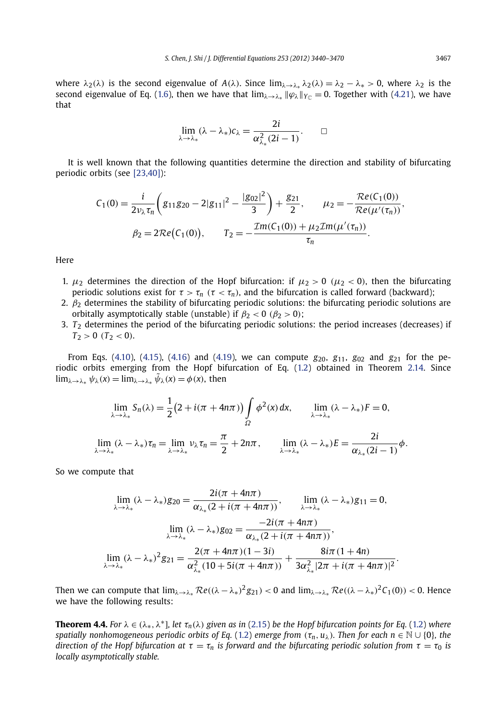<span id="page-28-0"></span>where  $\lambda_2(\lambda)$  is the second eigenvalue of  $A(\lambda)$ . Since  $\lim_{\lambda \to \lambda_*} \lambda_2(\lambda) = \lambda_2 - \lambda_* > 0$ , where  $\lambda_2$  is the second eigenvalue of Eq. [\(1.6\)](#page-3-0), then we have that  $\lim_{\lambda\to\lambda_*}$   $\|\varphi_{\lambda}\|_{Y_{\mathbb{C}}} = 0$ . Together with [\(4.21\)](#page-27-0), we have that

$$
\lim_{\lambda \to \lambda_*} (\lambda - \lambda_*) c_{\lambda} = \frac{2i}{\alpha_{\lambda_*}^2 (2i - 1)}.
$$

It is well known that the following quantities determine the direction and stability of bifurcating periodic orbits (see [\[23,40\]\)](#page-30-0):

$$
C_1(0) = \frac{i}{2\nu_{\lambda}\tau_n} \left( g_{11}g_{20} - 2|g_{11}|^2 - \frac{|g_{02}|^2}{3} \right) + \frac{g_{21}}{2}, \qquad \mu_2 = -\frac{\mathcal{R}e(C_1(0))}{\mathcal{R}e(\mu'(\tau_n))},
$$

$$
\beta_2 = 2\mathcal{R}e(C_1(0)), \qquad T_2 = -\frac{\mathcal{I}m(C_1(0)) + \mu_2\mathcal{I}m(\mu'(\tau_n))}{\tau_n}.
$$

Here

- 1.  $\mu_2$  determines the direction of the Hopf bifurcation: if  $\mu_2 > 0$  ( $\mu_2 < 0$ ), then the bifurcating periodic solutions exist for  $\tau > \tau_n$  ( $\tau < \tau_n$ ), and the bifurcation is called forward (backward);
- 2. *β*<sup>2</sup> determines the stability of bifurcating periodic solutions: the bifurcating periodic solutions are orbitally asymptotically stable (unstable) if  $\beta_2 < 0$  ( $\beta_2 > 0$ );
- 3.  $T<sub>2</sub>$  determines the period of the bifurcating periodic solutions: the period increases (decreases) if  $T_2 > 0$  ( $T_2 < 0$ ).

From Eqs. [\(4.10\)](#page-25-0), [\(4.15\)](#page-25-0), [\(4.16\)](#page-26-0) and [\(4.19\)](#page-26-0), we can compute  $g_{20}$ ,  $g_{11}$ ,  $g_{02}$  and  $g_{21}$  for the periodic orbits emerging from the Hopf bifurcation of Eq. [\(1.2\)](#page-2-0) obtained in Theorem [2.14.](#page-16-0) Since  $\lim_{\lambda \to \lambda_*} \psi_{\lambda}(x) = \lim_{\lambda \to \lambda_*} \tilde{\psi}_{\lambda}(x) = \phi(x)$ , then

$$
\lim_{\lambda \to \lambda_*} S_n(\lambda) = \frac{1}{2} \left( 2 + i(\pi + 4n\pi) \right) \int_{\Omega} \phi^2(x) dx, \qquad \lim_{\lambda \to \lambda_*} (\lambda - \lambda_*) F = 0,
$$
  

$$
\lim_{\lambda \to \lambda_*} (\lambda - \lambda_*) \tau_n = \lim_{\lambda \to \lambda_*} \nu_\lambda \tau_n = \frac{\pi}{2} + 2n\pi, \qquad \lim_{\lambda \to \lambda_*} (\lambda - \lambda_*) F = \frac{2i}{\alpha_{\lambda_*}(2i - 1)} \phi.
$$

So we compute that

$$
\lim_{\lambda \to \lambda_*} (\lambda - \lambda_*) g_{20} = \frac{2i(\pi + 4n\pi)}{\alpha_{\lambda_*}(2 + i(\pi + 4n\pi))}, \qquad \lim_{\lambda \to \lambda_*} (\lambda - \lambda_*) g_{11} = 0,
$$
  

$$
\lim_{\lambda \to \lambda_*} (\lambda - \lambda_*) g_{02} = \frac{-2i(\pi + 4n\pi)}{\alpha_{\lambda_*}(2 + i(\pi + 4n\pi))},
$$
  

$$
\lim_{\lambda \to \lambda_*} (\lambda - \lambda_*)^2 g_{21} = \frac{2(\pi + 4n\pi)(1 - 3i)}{\alpha_{\lambda_*}^2 (10 + 5i(\pi + 4n\pi))} + \frac{8i\pi(1 + 4n)}{3\alpha_{\lambda_*}^2 |2\pi + i(\pi + 4n\pi)|^2}.
$$

Then we can compute that  $\lim_{\lambda\to\lambda_*}\mathcal{R}e((\lambda-\lambda_*)^2g_{21}) < 0$  and  $\lim_{\lambda\to\lambda_*}\mathcal{R}e((\lambda-\lambda_*)^2C_1(0)) < 0$ . Hence we have the following results:

**Theorem 4.4.** For  $\lambda \in (\lambda_*, \lambda^*]$ , let  $\tau_n(\lambda)$  given as in [\(2.15\)](#page-9-0) be the Hopf bifurcation points for Eq. [\(1.2](#page-2-0)) where *spatially nonhomogeneous periodic orbits of Eq.* [\(1.2\)](#page-2-0) *emerge from*  $(\tau_n, u_\lambda)$ *. Then for each n* ∈ N ∪ {0}*, the direction of the Hopf bifurcation at*  $\tau = \tau_n$  *is forward and the bifurcating periodic solution from*  $\tau = \tau_0$  *is locally asymptotically stable.*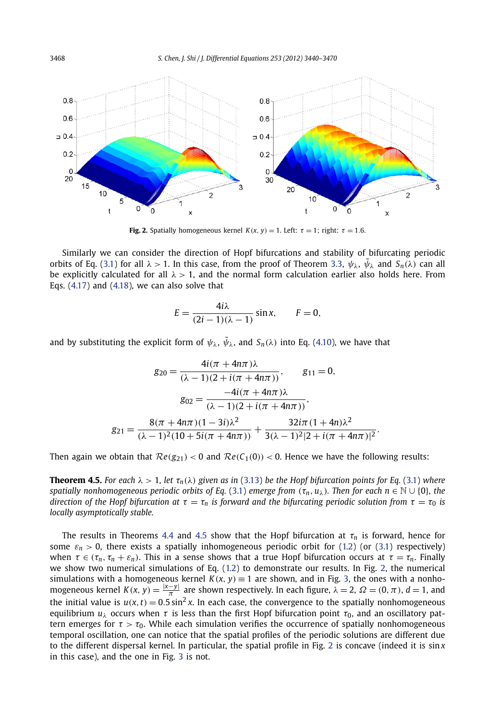

**Fig. 2.** Spatially homogeneous kernel  $K(x, y) = 1$ . Left:  $\tau = 1$ ; right:  $\tau = 1.6$ .

Similarly we can consider the direction of Hopf bifurcations and stability of bifurcating periodic orbits of Eq. [\(3.1\)](#page-17-0) for all  $\lambda > 1$ . In this case, from the proof of Theorem [3.3,](#page-19-0)  $\psi_{\lambda}$ ,  $\bar{\psi}_{\lambda}$  and  $S_n(\lambda)$  can all be explicitly calculated for all  $\lambda > 1$ , and the normal form calculation earlier also holds here. From Eqs. [\(4.17\)](#page-26-0) and [\(4.18\)](#page-26-0), we can also solve that

$$
E = \frac{4i\lambda}{(2i-1)(\lambda-1)}\sin x, \qquad F = 0,
$$

and by substituting the explicit form of  $\psi_{\lambda}$ ,  $\tilde{\psi}_{\lambda}$ , and  $S_n(\lambda)$  into Eq. [\(4.10\)](#page-25-0), we have that

$$
g_{20} = \frac{4i(\pi + 4n\pi)\lambda}{(\lambda - 1)(2 + i(\pi + 4n\pi))}, \qquad g_{11} = 0,
$$

$$
g_{02} = \frac{-4i(\pi + 4n\pi)\lambda}{(\lambda - 1)(2 + i(\pi + 4n\pi))},
$$

$$
g_{21} = \frac{8(\pi + 4n\pi)(1 - 3i)\lambda^2}{(\lambda - 1)^2(10 + 5i(\pi + 4n\pi))} + \frac{32i\pi(1 + 4n)\lambda^2}{3(\lambda - 1)^2[2 + i(\pi + 4n\pi)]^2}.
$$

Then again we obtain that  $Re(g_{21}) < 0$  and  $Re(C_1(0)) < 0$ . Hence we have the following results:

**Theorem 4.5.** For each  $\lambda > 1$ , let  $\tau_n(\lambda)$  given as in [\(3.13\)](#page-19-0) be the Hopf bifurcation points for Eq. [\(3.1\)](#page-17-0) where *spatially nonhomogeneous periodic orbits of Eq.* [\(3.1\)](#page-17-0) *emerge from*  $(\tau_n, u_\lambda)$ *. Then for each n* ∈ N ∪ {0}*, the direction of the Hopf bifurcation at*  $\tau = \tau_n$  *is forward and the bifurcating periodic solution from*  $\tau = \tau_0$  *is locally asymptotically stable.*

The results in Theorems [4.4](#page-28-0) and 4.5 show that the Hopf bifurcation at  $\tau_n$  is forward, hence for some  $\varepsilon_n$  > 0, there exists a spatially inhomogeneous periodic orbit for [\(1.2](#page-2-0)) (or [\(3.1\)](#page-17-0) respectively) when  $\tau \in (\tau_n, \tau_n + \varepsilon_n)$ . This in a sense shows that a true Hopf bifurcation occurs at  $\tau = \tau_n$ . Finally we show two numerical simulations of Eq. [\(1.2](#page-2-0)) to demonstrate our results. In Fig. 2, the numerical simulations with a homogeneous kernel  $K(x, y) \equiv 1$  are shown, and in Fig. [3,](#page-30-0) the ones with a nonhomogeneous kernel  $K(x, y) = \frac{|x-y|}{\pi}$  are shown respectively. In each figure,  $\lambda = 2$ ,  $\Omega = (0, \pi)$ ,  $d = 1$ , and the initial value is  $u(x, t) = 0.5 \sin^2 x$ . In each case, the convergence to the spatially nonhomogeneous equilibrium *u<sup>λ</sup>* occurs when *τ* is less than the first Hopf bifurcation point *τ*0, and an oscillatory pattern emerges for  $\tau > \tau_0$ . While each simulation verifies the occurrence of spatially nonhomogeneous temporal oscillation, one can notice that the spatial profiles of the periodic solutions are different due to the different dispersal kernel. In particular, the spatial profile in Fig. 2 is concave (indeed it is sin *x* in this case), and the one in Fig. [3](#page-30-0) is not.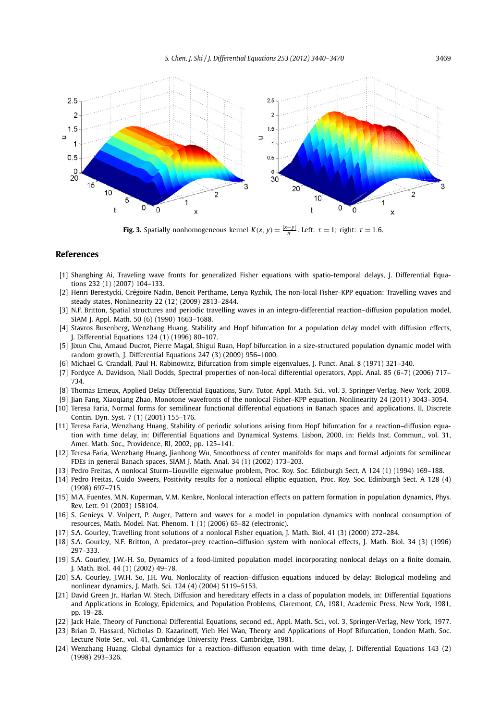<span id="page-30-0"></span>

**Fig. 3.** Spatially nonhomogeneous kernel  $K(x, y) = \frac{|x-y|}{\pi}$ . Left:  $\tau = 1$ ; right:  $\tau = 1.6$ .

#### **References**

- [1] Shangbing Ai, Traveling wave fronts for generalized Fisher equations with spatio-temporal delays, J. Differential Equations 232 (1) (2007) 104–133.
- [2] Henri Berestycki, Grégoire Nadin, Benoit Perthame, Lenya Ryzhik, The non-local Fisher–KPP equation: Travelling waves and steady states, Nonlinearity 22 (12) (2009) 2813–2844.
- [3] N.F. Britton, Spatial structures and periodic travelling waves in an integro-differential reaction–diffusion population model, SIAM J. Appl. Math. 50 (6) (1990) 1663–1688.
- [4] Stavros Busenberg, Wenzhang Huang, Stability and Hopf bifurcation for a population delay model with diffusion effects, J. Differential Equations 124 (1) (1996) 80–107.
- [5] Jixun Chu, Arnaud Ducrot, Pierre Magal, Shigui Ruan, Hopf bifurcation in a size-structured population dynamic model with random growth, J. Differential Equations 247 (3) (2009) 956–1000.
- [6] Michael G. Crandall, Paul H. Rabinowitz, Bifurcation from simple eigenvalues, J. Funct. Anal. 8 (1971) 321–340.
- [7] Fordyce A. Davidson, Niall Dodds, Spectral properties of non-local differential operators, Appl. Anal. 85 (6–7) (2006) 717– 734.
- [8] Thomas Erneux, Applied Delay Differential Equations, Surv. Tutor. Appl. Math. Sci., vol. 3, Springer-Verlag, New York, 2009.
- [9] Jian Fang, Xiaoqiang Zhao, Monotone wavefronts of the nonlocal Fisher–KPP equation, Nonlinearity 24 (2011) 3043–3054.
- [10] Teresa Faria, Normal forms for semilinear functional differential equations in Banach spaces and applications. II, Discrete Contin. Dyn. Syst. 7 (1) (2001) 155–176.
- [11] Teresa Faria, Wenzhang Huang, Stability of periodic solutions arising from Hopf bifurcation for a reaction–diffusion equation with time delay, in: Differential Equations and Dynamical Systems, Lisbon, 2000, in: Fields Inst. Commun., vol. 31, Amer. Math. Soc., Providence, RI, 2002, pp. 125–141.
- [12] Teresa Faria, Wenzhang Huang, Jianhong Wu, Smoothness of center manifolds for maps and formal adjoints for semilinear FDEs in general Banach spaces, SIAM J. Math. Anal. 34 (1) (2002) 173–203.
- [13] Pedro Freitas, A nonlocal Sturm–Liouville eigenvalue problem, Proc. Roy. Soc. Edinburgh Sect. A 124 (1) (1994) 169–188.
- [14] Pedro Freitas, Guido Sweers, Positivity results for a nonlocal elliptic equation, Proc. Roy. Soc. Edinburgh Sect. A 128 (4) (1998) 697–715.
- [15] M.A. Fuentes, M.N. Kuperman, V.M. Kenkre, Nonlocal interaction effects on pattern formation in population dynamics, Phys. Rev. Lett. 91 (2003) 158104.
- [16] S. Genieys, V. Volpert, P. Auger, Pattern and waves for a model in population dynamics with nonlocal consumption of resources, Math. Model. Nat. Phenom. 1 (1) (2006) 65–82 (electronic).
- [17] S.A. Gourley, Travelling front solutions of a nonlocal Fisher equation, J. Math. Biol. 41 (3) (2000) 272–284.
- [18] S.A. Gourley, N.F. Britton, A predator–prey reaction–diffusion system with nonlocal effects, J. Math. Biol. 34 (3) (1996) 297–333.
- [19] S.A. Gourley, J.W.-H. So, Dynamics of a food-limited population model incorporating nonlocal delays on a finite domain, J. Math. Biol. 44 (1) (2002) 49–78.
- [20] S.A. Gourley, J.W.H. So, J.H. Wu, Nonlocality of reaction–diffusion equations induced by delay: Biological modeling and nonlinear dynamics, J. Math. Sci. 124 (4) (2004) 5119–5153.
- [21] David Green Jr., Harlan W. Stech, Diffusion and hereditary effects in a class of population models, in: Differential Equations and Applications in Ecology, Epidemics, and Population Problems, Claremont, CA, 1981, Academic Press, New York, 1981, pp. 19–28.
- [22] Jack Hale, Theory of Functional Differential Equations, second ed., Appl. Math. Sci., vol. 3, Springer-Verlag, New York, 1977.
- [23] Brian D. Hassard, Nicholas D. Kazarinoff, Yieh Hei Wan, Theory and Applications of Hopf Bifurcation, London Math. Soc. Lecture Note Ser., vol. 41, Cambridge University Press, Cambridge, 1981.
- [24] Wenzhang Huang, Global dynamics for a reaction–diffusion equation with time delay, J. Differential Equations 143 (2) (1998) 293–326.